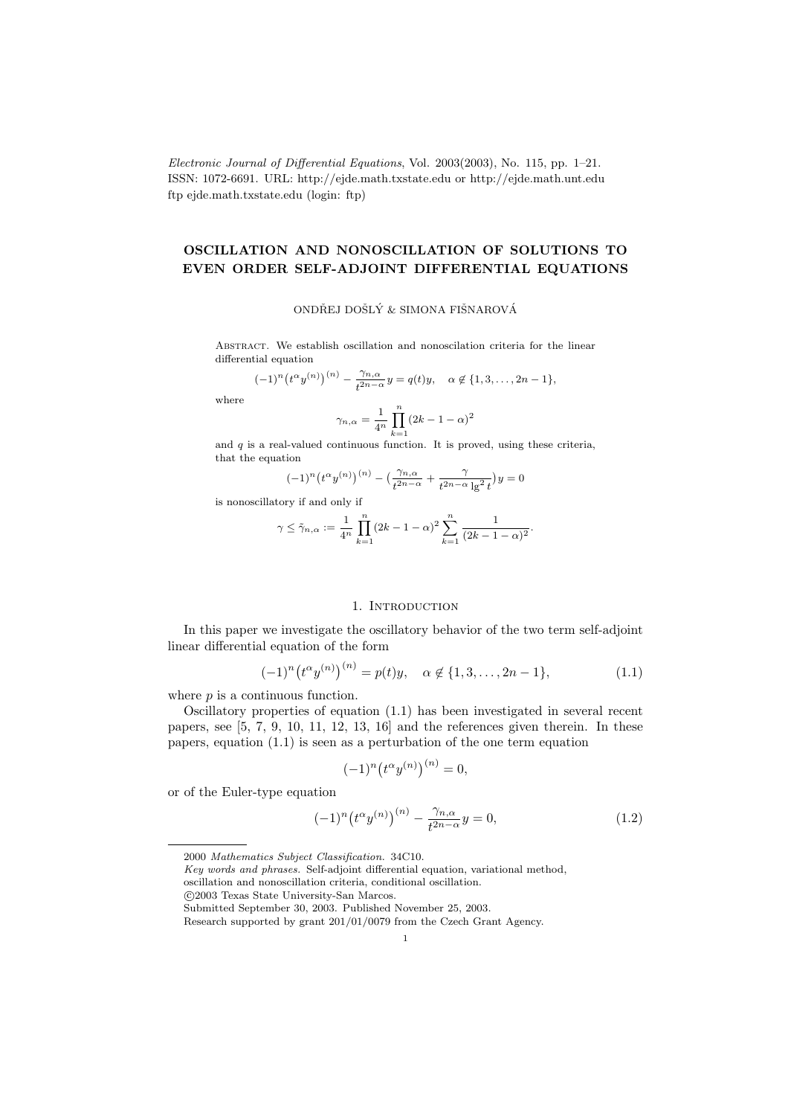Electronic Journal of Differential Equations, Vol. 2003(2003), No. 115, pp. 1–21. ISSN: 1072-6691. URL: http://ejde.math.txstate.edu or http://ejde.math.unt.edu ftp ejde.math.txstate.edu (login: ftp)

# OSCILLATION AND NONOSCILLATION OF SOLUTIONS TO EVEN ORDER SELF-ADJOINT DIFFERENTIAL EQUATIONS

## ONDŘEJ DOŠLÝ & SIMONA FIŠNAROVÁ

Abstract. We establish oscillation and nonoscilation criteria for the linear differential equation

$$
(-1)^n (t^{\alpha} y^{(n)})^{(n)} - \frac{\gamma_{n,\alpha}}{t^{2n-\alpha}} y = q(t)y, \quad \alpha \notin \{1, 3, ..., 2n-1\},\
$$

where

$$
\gamma_{n,\alpha} = \frac{1}{4^n} \prod_{k=1}^n (2k - 1 - \alpha)^2
$$

and  $q$  is a real-valued continuous function. It is proved, using these criteria, that the equation

$$
(-1)^n \left(t^{\alpha} y^{(n)}\right)^{(n)} - \left(\frac{\gamma_{n,\alpha}}{t^{2n-\alpha}} + \frac{\gamma}{t^{2n-\alpha} \lg^2 t}\right) y = 0
$$

is nonoscillatory if and only if

$$
\gamma \leq \tilde{\gamma}_{n,\alpha} := \frac{1}{4^n} \prod_{k=1}^n (2k - 1 - \alpha)^2 \sum_{k=1}^n \frac{1}{(2k - 1 - \alpha)^2}.
$$

# 1. INTRODUCTION

In this paper we investigate the oscillatory behavior of the two term self-adjoint linear differential equation of the form

$$
(-1)^{n} (t^{\alpha} y^{(n)})^{(n)} = p(t)y, \quad \alpha \notin \{1, 3, \dots, 2n - 1\},
$$
 (1.1)

where  $p$  is a continuous function.

Oscillatory properties of equation (1.1) has been investigated in several recent papers, see [5, 7, 9, 10, 11, 12, 13, 16] and the references given therein. In these papers, equation (1.1) is seen as a perturbation of the one term equation

$$
(-1)^n (t^{\alpha} y^{(n)})^{(n)} = 0,
$$

or of the Euler-type equation

$$
(-1)^n \left(t^{\alpha} y^{(n)}\right)^{(n)} - \frac{\gamma_{n,\alpha}}{t^{2n-\alpha}} y = 0, \tag{1.2}
$$

<sup>2000</sup> Mathematics Subject Classification. 34C10.

Key words and phrases. Self-adjoint differential equation, variational method, oscillation and nonoscillation criteria, conditional oscillation.

c 2003 Texas State University-San Marcos.

Submitted September 30, 2003. Published November 25, 2003.

Research supported by grant 201/01/0079 from the Czech Grant Agency.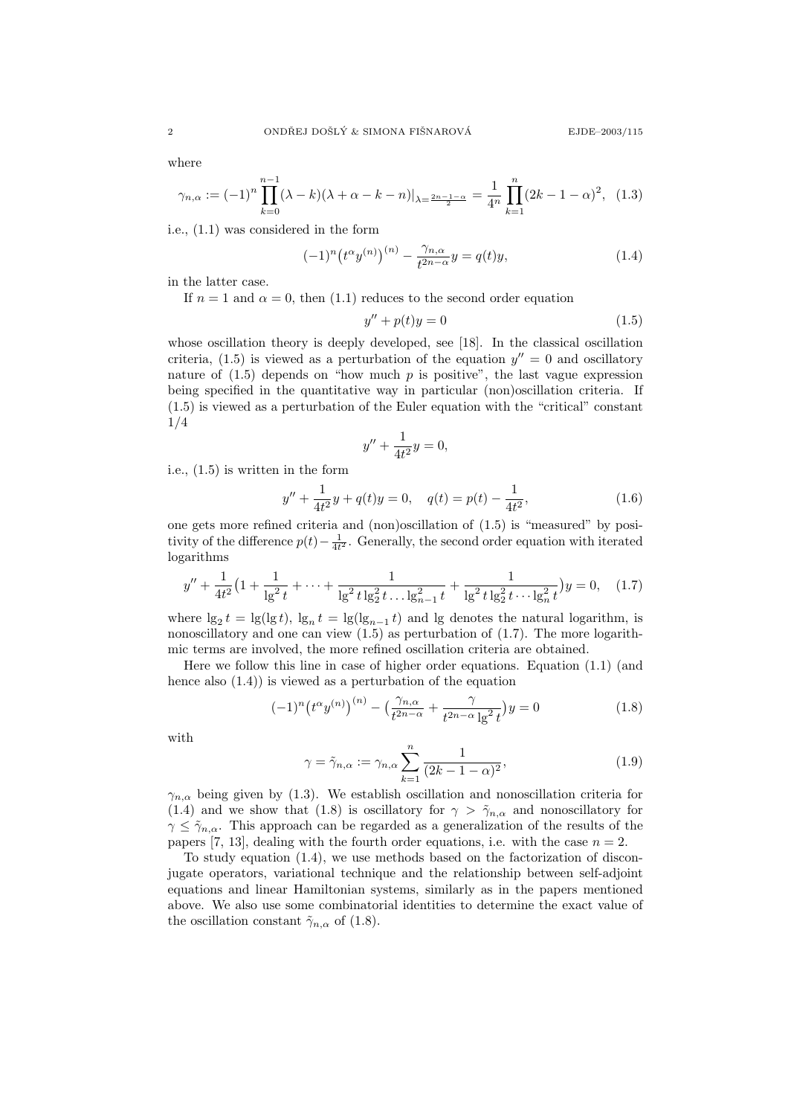where

$$
\gamma_{n,\alpha} := (-1)^n \prod_{k=0}^{n-1} (\lambda - k)(\lambda + \alpha - k - n)|_{\lambda = \frac{2n - 1 - \alpha}{2}} = \frac{1}{4^n} \prod_{k=1}^n (2k - 1 - \alpha)^2, \tag{1.3}
$$

i.e., (1.1) was considered in the form

$$
(-1)^{n} (t^{\alpha} y^{(n)})^{(n)} - \frac{\gamma_{n,\alpha}}{t^{2n-\alpha}} y = q(t)y,
$$
\n(1.4)

in the latter case.

If  $n = 1$  and  $\alpha = 0$ , then (1.1) reduces to the second order equation

$$
y'' + p(t)y = 0 \tag{1.5}
$$

whose oscillation theory is deeply developed, see [18]. In the classical oscillation criteria, (1.5) is viewed as a perturbation of the equation  $y'' = 0$  and oscillatory nature of  $(1.5)$  depends on "how much p is positive", the last vague expression being specified in the quantitative way in particular (non)oscillation criteria. If (1.5) is viewed as a perturbation of the Euler equation with the "critical" constant 1/4

$$
y'' + \frac{1}{4t^2}y = 0,
$$

i.e., (1.5) is written in the form

$$
y'' + \frac{1}{4t^2}y + q(t)y = 0, \quad q(t) = p(t) - \frac{1}{4t^2},
$$
\n(1.6)

one gets more refined criteria and (non)oscillation of (1.5) is "measured" by positivity of the difference  $p(t) - \frac{1}{4t^2}$ . Generally, the second order equation with iterated logarithms

$$
y'' + \frac{1}{4t^2} \left( 1 + \frac{1}{\lg^2 t} + \dots + \frac{1}{\lg^2 t \lg^2 t \dots \lg^2_{n-1} t} + \frac{1}{\lg^2 t \lg^2 t \dots \lg^2_n t} \right) y = 0, \quad (1.7)
$$

where  $\lg_2 t = \lg(\lg t)$ ,  $\lg_n t = \lg(\lg_{n-1} t)$  and  $\lg$  denotes the natural logarithm, is nonoscillatory and one can view  $(1.5)$  as perturbation of  $(1.7)$ . The more logarithmic terms are involved, the more refined oscillation criteria are obtained.

Here we follow this line in case of higher order equations. Equation (1.1) (and hence also (1.4)) is viewed as a perturbation of the equation

$$
(-1)^n \left(t^{\alpha} y^{(n)}\right)^{(n)} - \left(\frac{\gamma_{n,\alpha}}{t^{2n-\alpha}} + \frac{\gamma}{t^{2n-\alpha} \lg^2 t}\right) y = 0 \tag{1.8}
$$

with

$$
\gamma = \tilde{\gamma}_{n,\alpha} := \gamma_{n,\alpha} \sum_{k=1}^{n} \frac{1}{(2k - 1 - \alpha)^2},\tag{1.9}
$$

 $\gamma_{n,\alpha}$  being given by (1.3). We establish oscillation and nonoscillation criteria for (1.4) and we show that (1.8) is oscillatory for  $\gamma > \tilde{\gamma}_{n,\alpha}$  and nonoscillatory for  $\gamma \leq \tilde{\gamma}_{n,\alpha}$ . This approach can be regarded as a generalization of the results of the papers [7, 13], dealing with the fourth order equations, i.e. with the case  $n = 2$ .

To study equation (1.4), we use methods based on the factorization of disconjugate operators, variational technique and the relationship between self-adjoint equations and linear Hamiltonian systems, similarly as in the papers mentioned above. We also use some combinatorial identities to determine the exact value of the oscillation constant  $\tilde{\gamma}_{n,\alpha}$  of (1.8).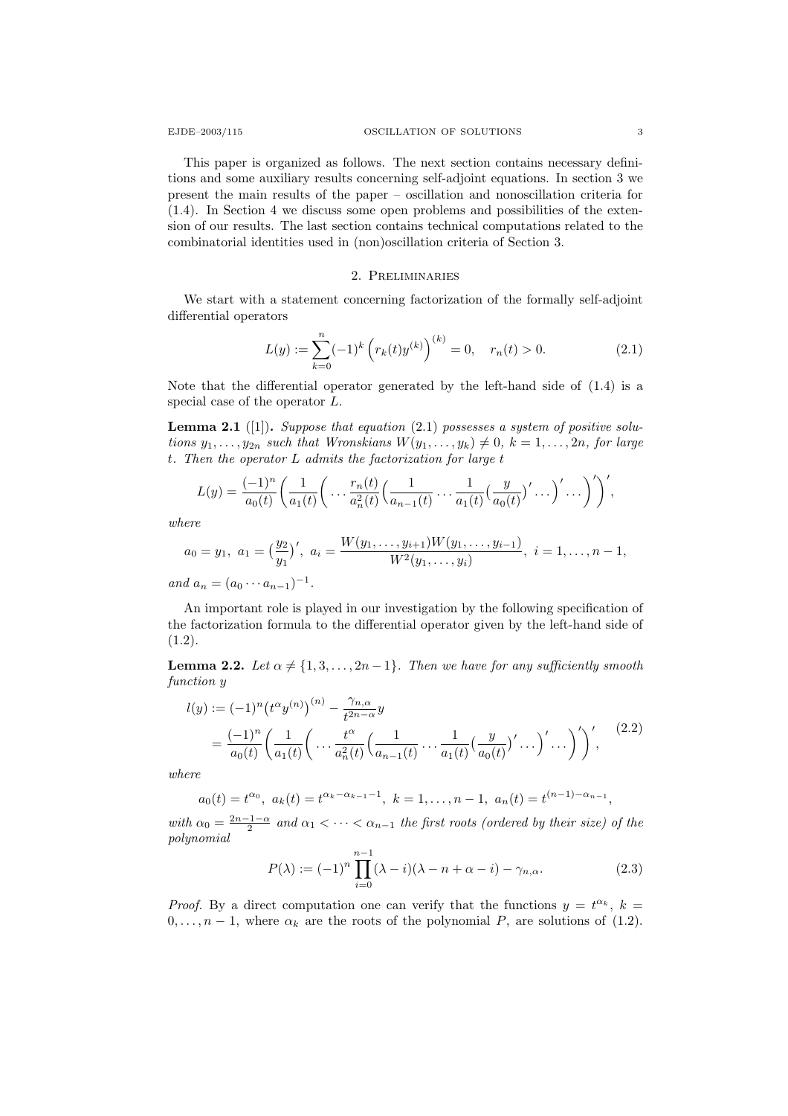This paper is organized as follows. The next section contains necessary definitions and some auxiliary results concerning self-adjoint equations. In section 3 we present the main results of the paper – oscillation and nonoscillation criteria for (1.4). In Section 4 we discuss some open problems and possibilities of the extension of our results. The last section contains technical computations related to the combinatorial identities used in (non)oscillation criteria of Section 3.

## 2. Preliminaries

We start with a statement concerning factorization of the formally self-adjoint differential operators

$$
L(y) := \sum_{k=0}^{n} (-1)^{k} \left( r_{k}(t) y^{(k)} \right)^{(k)} = 0, \quad r_{n}(t) > 0.
$$
 (2.1)

Note that the differential operator generated by the left-hand side of (1.4) is a special case of the operator L.

**Lemma 2.1** ([1]). Suppose that equation  $(2.1)$  possesses a system of positive solutions  $y_1, \ldots, y_{2n}$  such that Wronskians  $W(y_1, \ldots, y_k) \neq 0, k = 1, \ldots, 2n$ , for large t. Then the operator L admits the factorization for large t

$$
L(y) = \frac{(-1)^n}{a_0(t)} \left( \frac{1}{a_1(t)} \left( \dots \frac{r_n(t)}{a_n^2(t)} \left( \frac{1}{a_{n-1}(t)} \dots \frac{1}{a_1(t)} \left( \frac{y}{a_0(t)} \right)' \dots \right)' \dots \right)' \right)',
$$

where

$$
a_0 = y_1, a_1 = \left(\frac{y_2}{y_1}\right)', a_i = \frac{W(y_1, \ldots, y_{i+1})W(y_1, \ldots, y_{i-1})}{W^2(y_1, \ldots, y_i)}, i = 1, \ldots, n-1,
$$

and  $a_n = (a_0 \cdots a_{n-1})^{-1}$ .

An important role is played in our investigation by the following specification of the factorization formula to the differential operator given by the left-hand side of  $(1.2).$ 

**Lemma 2.2.** Let  $\alpha \neq \{1, 3, \ldots, 2n-1\}$ . Then we have for any sufficiently smooth function y

$$
l(y) := (-1)^n \left( t^{\alpha} y^{(n)} \right)^{(n)} - \frac{\gamma_{n,\alpha}}{t^{2n-\alpha}} y
$$
  
=  $\frac{(-1)^n}{a_0(t)} \left( \frac{1}{a_1(t)} \left( \dots \frac{t^{\alpha}}{a_n^2(t)} \left( \frac{1}{a_{n-1}(t)} \dots \frac{1}{a_1(t)} \left( \frac{y}{a_0(t)} \right)' \dots \right)' \right)',$  (2.2)

where

$$
a_0(t) = t^{\alpha_0}
$$
,  $a_k(t) = t^{\alpha_k - \alpha_{k-1} - 1}$ ,  $k = 1, ..., n - 1$ ,  $a_n(t) = t^{(n-1) - \alpha_{n-1}}$ ,

with  $\alpha_0 = \frac{2n-1-\alpha}{2}$  and  $\alpha_1 < \cdots < \alpha_{n-1}$  the first roots (ordered by their size) of the polynomial

$$
P(\lambda) := (-1)^n \prod_{i=0}^{n-1} (\lambda - i)(\lambda - n + \alpha - i) - \gamma_{n,\alpha}.
$$
 (2.3)

*Proof.* By a direct computation one can verify that the functions  $y = t^{\alpha_k}$ ,  $k =$  $0, \ldots, n-1$ , where  $\alpha_k$  are the roots of the polynomial P, are solutions of (1.2).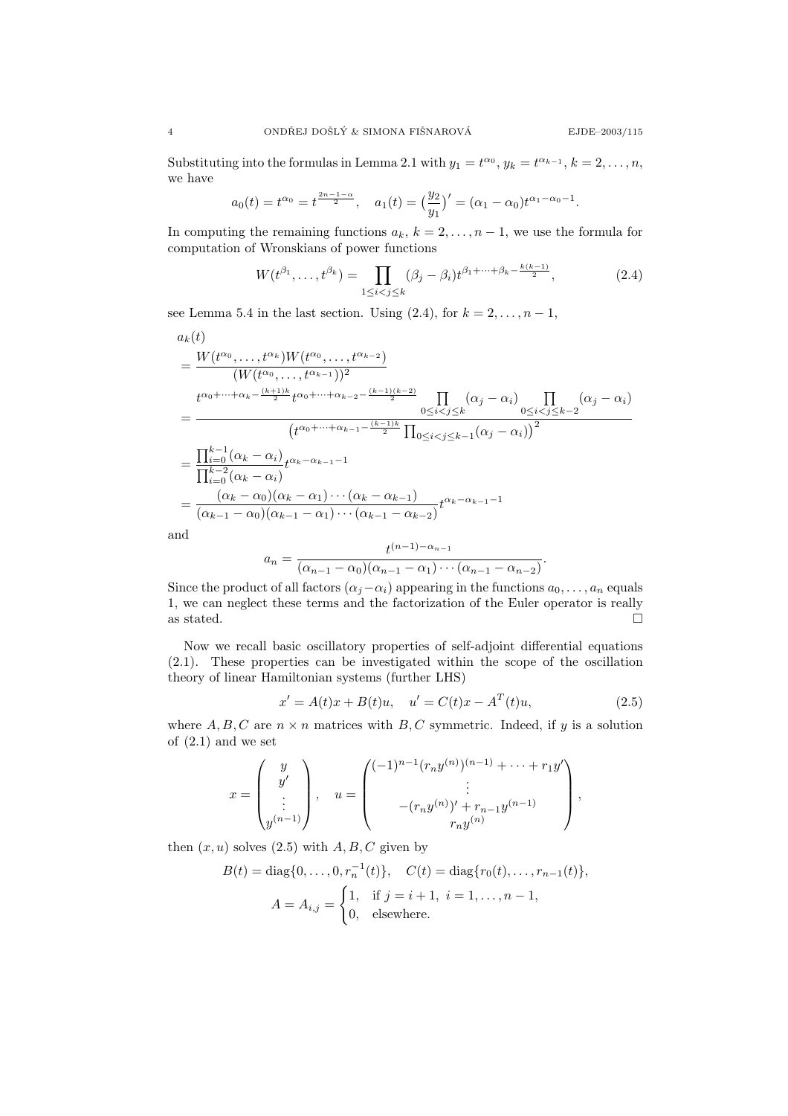Substituting into the formulas in Lemma 2.1 with  $y_1 = t^{\alpha_0}$ ,  $y_k = t^{\alpha_{k-1}}$ ,  $k = 2, ..., n$ , we have

$$
a_0(t) = t^{\alpha_0} = t^{\frac{2n-1-\alpha}{2}}, \quad a_1(t) = \left(\frac{y_2}{y_1}\right)' = (\alpha_1 - \alpha_0)t^{\alpha_1 - \alpha_0 - 1}.
$$

In computing the remaining functions  $a_k$ ,  $k = 2, \ldots, n-1$ , we use the formula for computation of Wronskians of power functions

$$
W(t^{\beta_1}, \dots, t^{\beta_k}) = \prod_{1 \le i < j \le k} (\beta_j - \beta_i) t^{\beta_1 + \dots + \beta_k - \frac{k(k-1)}{2}},\tag{2.4}
$$

see Lemma 5.4 in the last section. Using  $(2.4)$ , for  $k = 2, \ldots, n - 1$ ,

$$
a_k(t)
$$
  
= 
$$
\frac{W(t^{\alpha_0}, \dots, t^{\alpha_k})W(t^{\alpha_0}, \dots, t^{\alpha_{k-2}})}{(W(t^{\alpha_0}, \dots, t^{\alpha_{k-1}}))^2}
$$
  
= 
$$
\frac{t^{\alpha_0 + \dots + \alpha_k - \frac{(k+1)k}{2}} t^{\alpha_0 + \dots + \alpha_{k-2} - \frac{(k-1)(k-2)}{2}}}{(t^{\alpha_0 + \dots + \alpha_{k-1} - \frac{(k-1)k}{2}} \prod_{0 \le i < j \le k-1} (\alpha_j - \alpha_i))^{2}}
$$
  
= 
$$
\frac{\prod_{i=0}^{k-1} (\alpha_k - \alpha_i)}{\prod_{i=0}^{k-2} (\alpha_k - \alpha_i)} t^{\alpha_k - \alpha_{k-1} - 1}
$$
  
= 
$$
\frac{(\alpha_k - \alpha_0)(\alpha_k - \alpha_1) \cdots (\alpha_k - \alpha_{k-1})}{(\alpha_{k-1} - \alpha_0)(\alpha_{k-1} - \alpha_1) \cdots (\alpha_{k-1} - \alpha_{k-2})} t^{\alpha_k - \alpha_{k-1} - 1}
$$
  
and 
$$
t^{(n-1) - \alpha_{n-1}}
$$

$$
a_n = \frac{1}{(\alpha_{n-1} - \alpha_0)(\alpha_{n-1} - \alpha_1) \cdots (\alpha_{n-1} - \alpha_{n-2})}.
$$

Since the product of all factors  $(\alpha_i-\alpha_i)$  appearing in the functions  $a_0, \ldots, a_n$  equals 1, we can neglect these terms and the factorization of the Euler operator is really as stated.  $\hfill \square$ 

Now we recall basic oscillatory properties of self-adjoint differential equations (2.1). These properties can be investigated within the scope of the oscillation theory of linear Hamiltonian systems (further LHS)

$$
x' = A(t)x + B(t)u, \quad u' = C(t)x - A^{T}(t)u,
$$
\n(2.5)

,

where  $A, B, C$  are  $n \times n$  matrices with  $B, C$  symmetric. Indeed, if y is a solution of  $(2.1)$  and we set

$$
x = \begin{pmatrix} y \\ y' \\ \vdots \\ y^{(n-1)} \end{pmatrix}, \quad u = \begin{pmatrix} (-1)^{n-1} (r_n y^{(n)})^{(n-1)} + \dots + r_1 y' \\ \vdots \\ -(r_n y^{(n)})' + r_{n-1} y^{(n-1)} \\ r_n y^{(n)} \end{pmatrix}
$$

then  $(x, u)$  solves  $(2.5)$  with  $A, B, C$  given by

$$
B(t) = \text{diag}\{0, \dots, 0, r_n^{-1}(t)\}, \quad C(t) = \text{diag}\{r_0(t), \dots, r_{n-1}(t)\},
$$

$$
A = A_{i,j} = \begin{cases} 1, & \text{if } j = i+1, \ i = 1, \dots, n-1, \\ 0, & \text{elsewhere.} \end{cases}
$$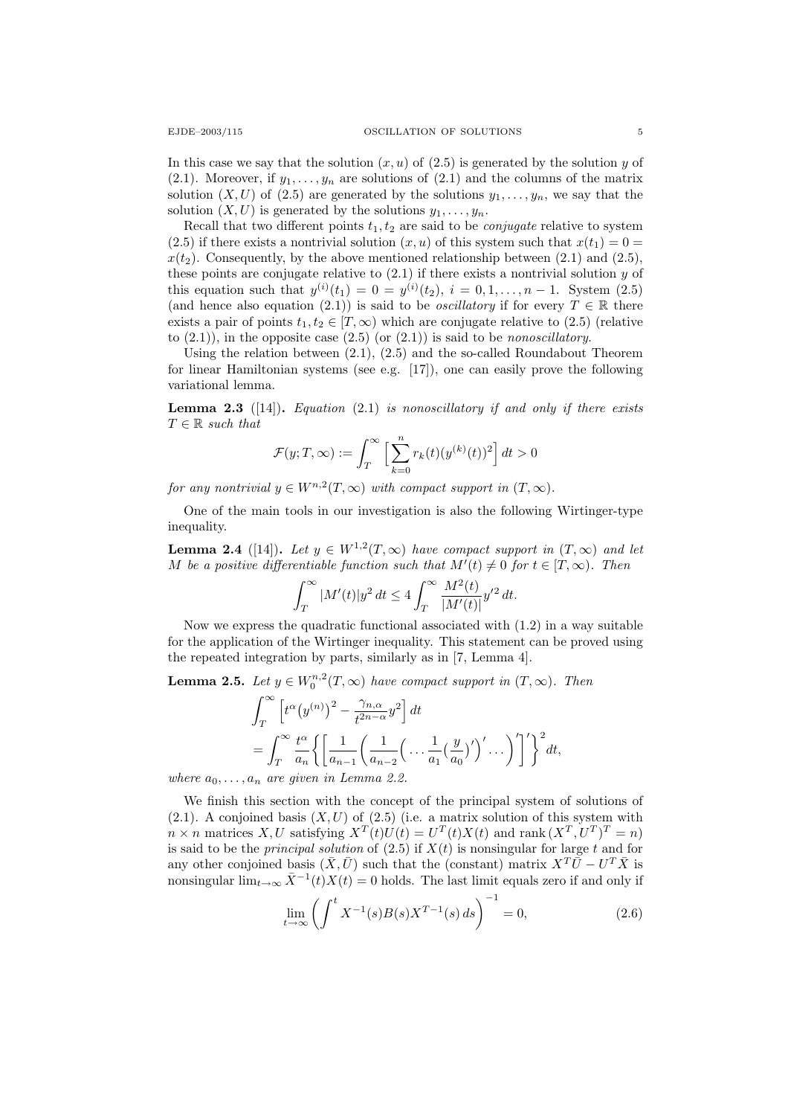In this case we say that the solution  $(x, u)$  of  $(2.5)$  is generated by the solution y of (2.1). Moreover, if  $y_1, \ldots, y_n$  are solutions of (2.1) and the columns of the matrix solution  $(X, U)$  of  $(2.5)$  are generated by the solutions  $y_1, \ldots, y_n$ , we say that the solution  $(X, U)$  is generated by the solutions  $y_1, \ldots, y_n$ .

Recall that two different points  $t_1, t_2$  are said to be *conjugate* relative to system (2.5) if there exists a nontrivial solution  $(x, u)$  of this system such that  $x(t_1) = 0$  $x(t_2)$ . Consequently, by the above mentioned relationship between (2.1) and (2.5), these points are conjugate relative to  $(2.1)$  if there exists a nontrivial solution y of this equation such that  $y^{(i)}(t_1) = 0 = y^{(i)}(t_2), i = 0, 1, ..., n-1$ . System (2.5) (and hence also equation (2.1)) is said to be *oscillatory* if for every  $T \in \mathbb{R}$  there exists a pair of points  $t_1, t_2 \in [T, \infty)$  which are conjugate relative to (2.5) (relative to  $(2.1)$ , in the opposite case  $(2.5)$  (or  $(2.1)$ ) is said to be nonoscillatory.

Using the relation between (2.1), (2.5) and the so-called Roundabout Theorem for linear Hamiltonian systems (see e.g. [17]), one can easily prove the following variational lemma.

**Lemma 2.3** ([14]). Equation (2.1) is nonoscillatory if and only if there exists  $T \in \mathbb{R}$  such that

$$
\mathcal{F}(y;T,\infty):=\int_T^\infty\Big[\sum_{k=0}^n r_k(t)(y^{(k)}(t))^2\Big]\,dt>0
$$

for any nontrivial  $y \in W^{n,2}(T,\infty)$  with compact support in  $(T,\infty)$ .

One of the main tools in our investigation is also the following Wirtinger-type inequality.

**Lemma 2.4** ([14]). Let  $y \in W^{1,2}(T,\infty)$  have compact support in  $(T,\infty)$  and let M be a positive differentiable function such that  $M'(t) \neq 0$  for  $t \in [T, \infty)$ . Then

$$
\int_T^{\infty} |M'(t)|y^2 dt \le 4 \int_T^{\infty} \frac{M^2(t)}{|M'(t)|} y'^2 dt.
$$

Now we express the quadratic functional associated with (1.2) in a way suitable for the application of the Wirtinger inequality. This statement can be proved using the repeated integration by parts, similarly as in [7, Lemma 4].

**Lemma 2.5.** Let  $y \in W_0^{n,2}(T,\infty)$  have compact support in  $(T,\infty)$ . Then

$$
\int_{T}^{\infty} \left[ t^{\alpha} (y^{(n)})^2 - \frac{\gamma_{n,\alpha}}{t^{2n-\alpha}} y^2 \right] dt
$$
  
= 
$$
\int_{T}^{\infty} \frac{t^{\alpha}}{a_n} \left\{ \left[ \frac{1}{a_{n-1}} \left( \frac{1}{a_{n-2}} \left( \dots \frac{1}{a_1} \left( \frac{y}{a_0} \right)' \right)' \dots \right)' \right]' \right\}^2 dt,
$$

where  $a_0, \ldots, a_n$  are given in Lemma 2.2.

We finish this section with the concept of the principal system of solutions of  $(2.1)$ . A conjoined basis  $(X, U)$  of  $(2.5)$  (i.e. a matrix solution of this system with  $n \times n$  matrices X, U satisfying  $X^T(t)U(t) = U^T(t)X(t)$  and rank  $(X^T, U^T)^T = n$ is said to be the *principal solution* of  $(2.5)$  if  $X(t)$  is nonsingular for large t and for any other conjoined basis  $(\bar{X}, \bar{U})$  such that the (constant) matrix  $X^T\bar{U} - U^T\bar{X}$  is nonsingular  $\lim_{t\to\infty} \bar{X}^{-1}(t)X(t) = 0$  holds. The last limit equals zero if and only if

$$
\lim_{t \to \infty} \left( \int^t X^{-1}(s) B(s) X^{T-1}(s) ds \right)^{-1} = 0,
$$
\n(2.6)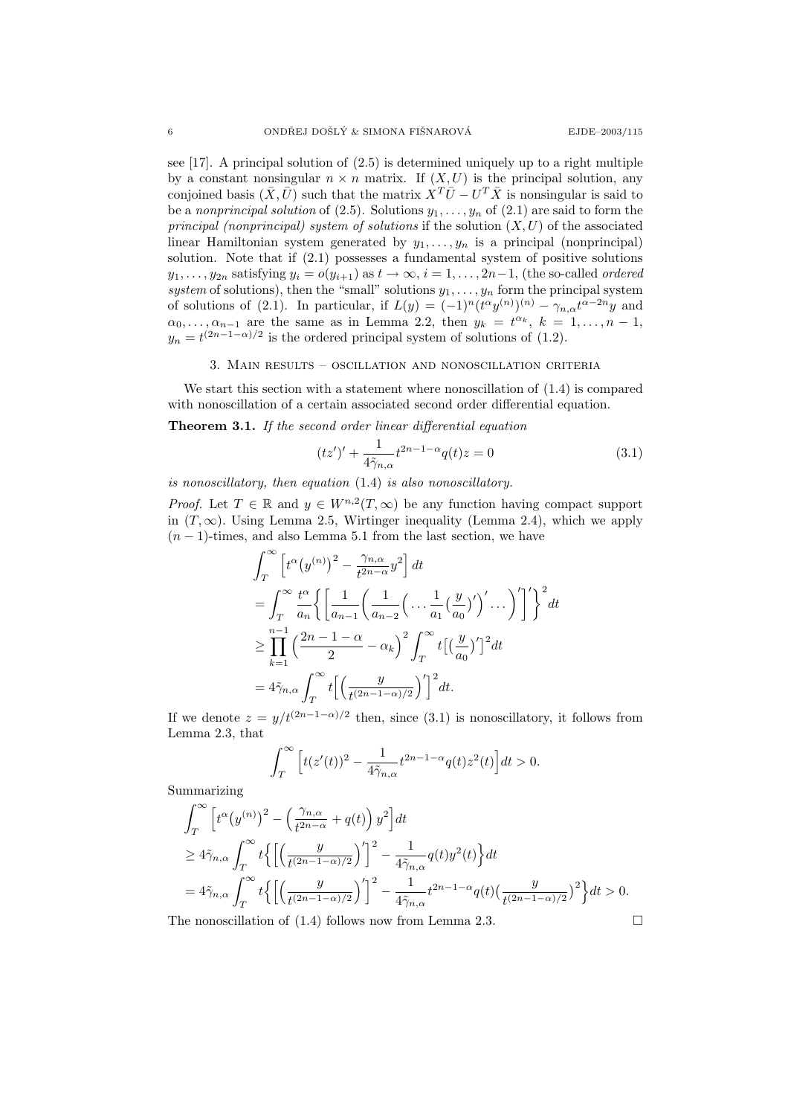see [17]. A principal solution of (2.5) is determined uniquely up to a right multiple by a constant nonsingular  $n \times n$  matrix. If  $(X, U)$  is the principal solution, any conjoined basis  $(\bar{X}, \bar{U})$  such that the matrix  $\overline{X}^T \overline{U} - U^T \overline{X}$  is nonsingular is said to be a nonprincipal solution of (2.5). Solutions  $y_1, \ldots, y_n$  of (2.1) are said to form the principal (nonprincipal) system of solutions if the solution  $(X, U)$  of the associated linear Hamiltonian system generated by  $y_1, \ldots, y_n$  is a principal (nonprincipal) solution. Note that if (2.1) possesses a fundamental system of positive solutions  $y_1, \ldots, y_{2n}$  satisfying  $y_i = o(y_{i+1})$  as  $t \to \infty$ ,  $i = 1, \ldots, 2n-1$ , (the so-called ordered system of solutions), then the "small" solutions  $y_1, \ldots, y_n$  form the principal system of solutions of (2.1). In particular, if  $L(y) = (-1)^n (t^{\alpha}y^{(n)})^{(n)} - \gamma_{n,\alpha}t^{\alpha-2n}y$  and  $\alpha_0, \ldots, \alpha_{n-1}$  are the same as in Lemma 2.2, then  $y_k = t^{\alpha_k}, k = 1, \ldots, n-1$ ,  $y_n = t^{(2n-1-\alpha)/2}$  is the ordered principal system of solutions of (1.2).

# 3. Main results – oscillation and nonoscillation criteria

We start this section with a statement where nonoscillation of (1.4) is compared with nonoscillation of a certain associated second order differential equation.

Theorem 3.1. If the second order linear differential equation

$$
(tz')' + \frac{1}{4\tilde{\gamma}_{n,\alpha}}t^{2n-1-\alpha}q(t)z = 0
$$
\n(3.1)

is nonoscillatory, then equation (1.4) is also nonoscillatory.

*Proof.* Let  $T \in \mathbb{R}$  and  $y \in W^{n,2}(T,\infty)$  be any function having compact support in  $(T, \infty)$ . Using Lemma 2.5, Wirtinger inequality (Lemma 2.4), which we apply  $(n - 1)$ -times, and also Lemma 5.1 from the last section, we have

$$
\int_{T}^{\infty} \left[ t^{\alpha} (y^{(n)})^{2} - \frac{\gamma_{n,\alpha}}{t^{2n-\alpha}} y^{2} \right] dt
$$
  
\n
$$
= \int_{T}^{\infty} \frac{t^{\alpha}}{a_{n}} \left\{ \left[ \frac{1}{a_{n-1}} \left( \frac{1}{a_{n-2}} \left( \dots \frac{1}{a_{1}} \left( \frac{y}{a_{0}} \right)' \right)' \dots \right)' \right] \right\}^{2} dt
$$
  
\n
$$
\geq \prod_{k=1}^{n-1} \left( \frac{2n-1-\alpha}{2} - \alpha_{k} \right)^{2} \int_{T}^{\infty} t \left[ \left( \frac{y}{a_{0}} \right)' \right]^{2} dt
$$
  
\n
$$
= 4 \tilde{\gamma}_{n,\alpha} \int_{T}^{\infty} t \left[ \left( \frac{y}{t^{(2n-1-\alpha)/2}} \right)' \right]^{2} dt.
$$

If we denote  $z = y/t^{(2n-1-\alpha)/2}$  then, since (3.1) is nonoscillatory, it follows from Lemma 2.3, that

$$
\int_T^{\infty}\Big[t(z'(t))^2-\frac{1}{4\tilde{\gamma}_{n,\alpha}}t^{2n-1-\alpha}q(t)z^2(t)\Big]dt>0.
$$

Summarizing

$$
\int_{T}^{\infty} \left[ t^{\alpha} (y^{(n)})^2 - \left( \frac{\gamma_{n,\alpha}}{t^{2n-\alpha}} + q(t) \right) y^2 \right] dt
$$
  
\n
$$
\geq 4 \tilde{\gamma}_{n,\alpha} \int_{T}^{\infty} t \left\{ \left[ \left( \frac{y}{t^{(2n-1-\alpha)/2}} \right)' \right]^2 - \frac{1}{4 \tilde{\gamma}_{n,\alpha}} q(t) y^2(t) \right\} dt
$$
  
\n
$$
= 4 \tilde{\gamma}_{n,\alpha} \int_{T}^{\infty} t \left\{ \left[ \left( \frac{y}{t^{(2n-1-\alpha)/2}} \right)' \right]^2 - \frac{1}{4 \tilde{\gamma}_{n,\alpha}} t^{2n-1-\alpha} q(t) \left( \frac{y}{t^{(2n-1-\alpha)/2}} \right)^2 \right\} dt > 0.
$$

The nonoscillation of  $(1.4)$  follows now from Lemma 2.3.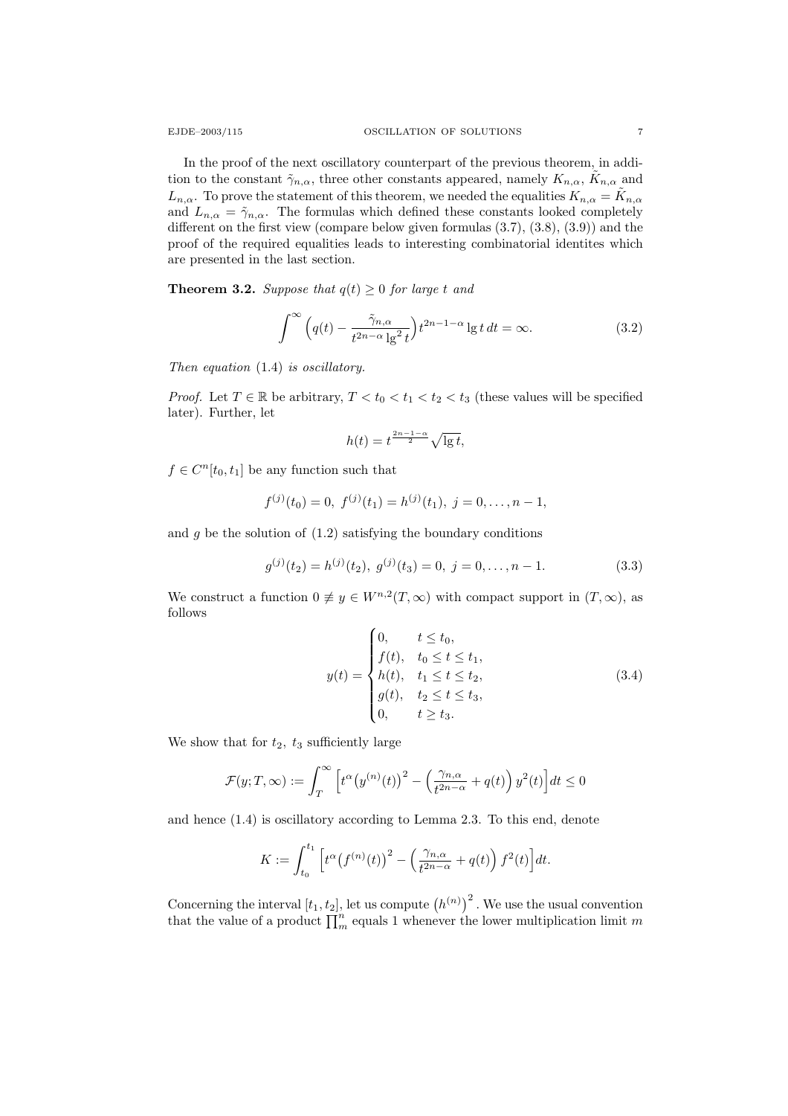In the proof of the next oscillatory counterpart of the previous theorem, in addition to the constant  $\tilde{\gamma}_{n,\alpha}$ , three other constants appeared, namely  $K_{n,\alpha}$ ,  $\tilde{K}_{n,\alpha}$  and  $L_{n,\alpha}$ . To prove the statement of this theorem, we needed the equalities  $K_{n,\alpha} = \tilde{K}_{n,\alpha}$ and  $L_{n,\alpha} = \tilde{\gamma}_{n,\alpha}$ . The formulas which defined these constants looked completely different on the first view (compare below given formulas (3.7), (3.8), (3.9)) and the proof of the required equalities leads to interesting combinatorial identites which are presented in the last section.

**Theorem 3.2.** Suppose that  $q(t) \geq 0$  for large t and

$$
\int^{\infty} \left( q(t) - \frac{\tilde{\gamma}_{n,\alpha}}{t^{2n-\alpha} \log^2 t} \right) t^{2n-1-\alpha} \lg t \, dt = \infty. \tag{3.2}
$$

Then equation  $(1.4)$  is oscillatory.

*Proof.* Let  $T \in \mathbb{R}$  be arbitrary,  $T < t_0 < t_1 < t_2 < t_3$  (these values will be specified later). Further, let

$$
h(t) = t^{\frac{2n-1-\alpha}{2}} \sqrt{\lg t},
$$

 $f \in C^n[t_0, t_1]$  be any function such that

$$
f^{(j)}(t_0) = 0, \ f^{(j)}(t_1) = h^{(j)}(t_1), \ j = 0, \dots, n-1,
$$

and  $g$  be the solution of  $(1.2)$  satisfying the boundary conditions

$$
g^{(j)}(t_2) = h^{(j)}(t_2), \ g^{(j)}(t_3) = 0, \ j = 0, \dots, n-1.
$$
 (3.3)

We construct a function  $0 \neq y \in W^{n,2}(T,\infty)$  with compact support in  $(T,\infty)$ , as follows

$$
y(t) = \begin{cases} 0, & t \le t_0, \\ f(t), & t_0 \le t \le t_1, \\ h(t), & t_1 \le t \le t_2, \\ g(t), & t_2 \le t \le t_3, \\ 0, & t \ge t_3. \end{cases}
$$
(3.4)

We show that for  $t_2$ ,  $t_3$  sufficiently large

$$
\mathcal{F}(y;T,\infty) := \int_T^{\infty} \left[ t^{\alpha} \left( y^{(n)}(t) \right)^2 - \left( \frac{\gamma_{n,\alpha}}{t^{2n-\alpha}} + q(t) \right) y^2(t) \right] dt \le 0
$$

and hence (1.4) is oscillatory according to Lemma 2.3. To this end, denote

$$
K := \int_{t_0}^{t_1} \left[ t^{\alpha} \left( f^{(n)}(t) \right)^2 - \left( \frac{\gamma_{n,\alpha}}{t^{2n-\alpha}} + q(t) \right) f^2(t) \right] dt.
$$

Concerning the interval  $[t_1, t_2]$ , let us compute  $(h^{(n)})^2$ . We use the usual convention that the value of a product  $\prod_{m}^{n}$  equals 1 whenever the lower multiplication limit m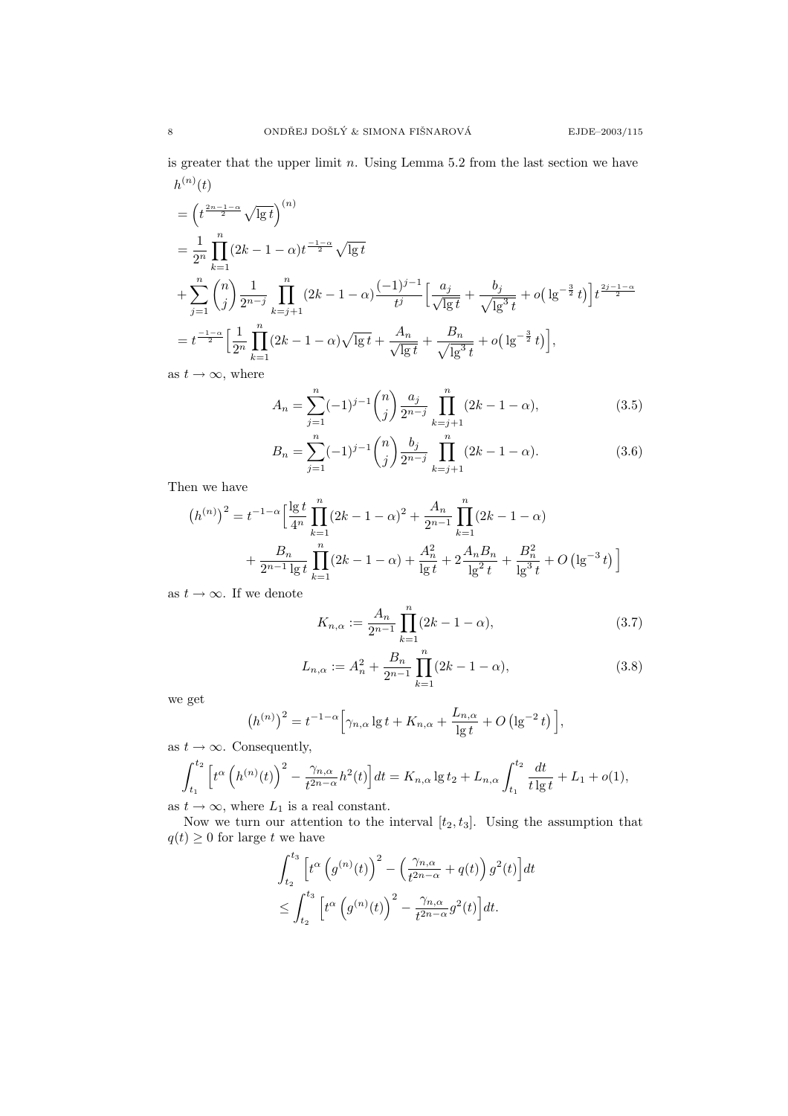is greater that the upper limit  $n$ . Using Lemma 5.2 from the last section we have  $h^{(n)}(t)$ 

$$
= \left(t^{\frac{2n-1-\alpha}{2}}\sqrt{\lg t}\right)^{(n)} \n= \frac{1}{2^n} \prod_{k=1}^n (2k-1-\alpha)t^{\frac{-1-\alpha}{2}}\sqrt{\lg t} \n+ \sum_{j=1}^n {n \choose j} \frac{1}{2^{n-j}} \prod_{k=j+1}^n (2k-1-\alpha) \frac{(-1)^{j-1}}{t^j} \Big[ \frac{a_j}{\sqrt{\lg t}} + \frac{b_j}{\sqrt{\lg^3 t}} + o\left(\lg^{-\frac{3}{2}} t\right) \Big] t^{\frac{2j-1-\alpha}{2}} \n= t^{\frac{-1-\alpha}{2}} \Big[ \frac{1}{2^n} \prod_{k=1}^n (2k-1-\alpha)\sqrt{\lg t} + \frac{A_n}{\sqrt{\lg t}} + \frac{B_n}{\sqrt{\lg^3 t}} + o\left(\lg^{-\frac{3}{2}} t\right) \Big],
$$

as  $t \to \infty$ , where

$$
A_n = \sum_{j=1}^n (-1)^{j-1} \binom{n}{j} \frac{a_j}{2^{n-j}} \prod_{k=j+1}^n (2k - 1 - \alpha),\tag{3.5}
$$

$$
B_n = \sum_{j=1}^n (-1)^{j-1} \binom{n}{j} \frac{b_j}{2^{n-j}} \prod_{k=j+1}^n (2k - 1 - \alpha).
$$
 (3.6)

Then we have

$$
(h^{(n)})^2 = t^{-1-\alpha} \Big[ \frac{\lg t}{4^n} \prod_{k=1}^n (2k - 1 - \alpha)^2 + \frac{A_n}{2^{n-1}} \prod_{k=1}^n (2k - 1 - \alpha) + \frac{B_n}{2^{n-1} \lg t} \prod_{k=1}^n (2k - 1 - \alpha) + \frac{A_n^2}{\lg t} + 2 \frac{A_n B_n}{\lg^2 t} + \frac{B_n^2}{\lg^3 t} + O\left(\lg^{-3} t\right) \Big]
$$

as  $t \to \infty$ . If we denote

$$
K_{n,\alpha} := \frac{A_n}{2^{n-1}} \prod_{k=1}^{n} (2k - 1 - \alpha),
$$
\n(3.7)

$$
L_{n,\alpha} := A_n^2 + \frac{B_n}{2^{n-1}} \prod_{k=1}^n (2k - 1 - \alpha), \tag{3.8}
$$

we get

$$
(h^{(n)})^2 = t^{-1-\alpha} \Big[ \gamma_{n,\alpha} \lg t + K_{n,\alpha} + \frac{L_{n,\alpha}}{\lg t} + O\left(\lg^{-2} t\right) \Big],
$$

as  $t \to \infty$ . Consequently,

$$
\int_{t_1}^{t_2} \left[ t^{\alpha} \left( h^{(n)}(t) \right)^2 - \frac{\gamma_{n,\alpha}}{t^{2n-\alpha}} h^2(t) \right] dt = K_{n,\alpha} \lg t_2 + L_{n,\alpha} \int_{t_1}^{t_2} \frac{dt}{t \lg t} + L_1 + o(1),
$$

as  $t \to \infty$ , where  $L_1$  is a real constant.

Now we turn our attention to the interval  $[t_2, t_3]$ . Using the assumption that  $q(t) \geq 0$  for large t we have

$$
\int_{t_2}^{t_3} \left[ t^{\alpha} \left( g^{(n)}(t) \right)^2 - \left( \frac{\gamma_{n,\alpha}}{t^{2n-\alpha}} + q(t) \right) g^2(t) \right] dt
$$
  

$$
\leq \int_{t_2}^{t_3} \left[ t^{\alpha} \left( g^{(n)}(t) \right)^2 - \frac{\gamma_{n,\alpha}}{t^{2n-\alpha}} g^2(t) \right] dt.
$$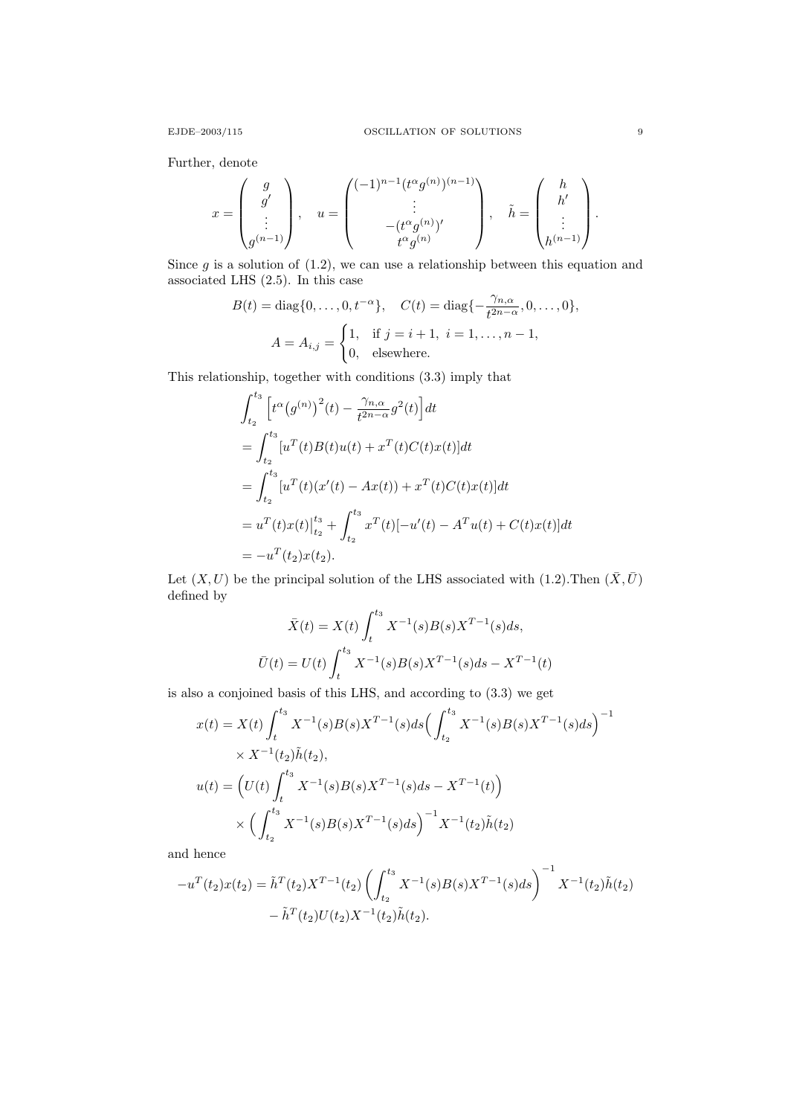Further, denote

$$
x = \begin{pmatrix} g \\ g' \\ \vdots \\ g^{(n-1)} \end{pmatrix}, \quad u = \begin{pmatrix} (-1)^{n-1} (t^{\alpha} g^{(n)})^{(n-1)} \\ \vdots \\ (-t^{\alpha} g^{(n)})' \\ t^{\alpha} g^{(n)} \end{pmatrix}, \quad \tilde{h} = \begin{pmatrix} h \\ h' \\ \vdots \\ h^{(n-1)} \end{pmatrix}.
$$

Since  $g$  is a solution of  $(1.2)$ , we can use a relationship between this equation and associated LHS (2.5). In this case

$$
B(t) = \text{diag}\{0, \dots, 0, t^{-\alpha}\}, \quad C(t) = \text{diag}\{-\frac{\gamma_{n,\alpha}}{t^{2n-\alpha}}, 0, \dots, 0\},
$$

$$
A = A_{i,j} = \begin{cases} 1, & \text{if } j = i+1, i = 1, \dots, n-1, \\ 0, & \text{elsewhere.} \end{cases}
$$

This relationship, together with conditions (3.3) imply that

$$
\int_{t_2}^{t_3} \left[ t^{\alpha} (g^{(n)})^2(t) - \frac{\gamma_{n,\alpha}}{t^{2n-\alpha}} g^2(t) \right] dt
$$
  
\n
$$
= \int_{t_2}^{t_3} [u^T(t)B(t)u(t) + x^T(t)C(t)x(t)] dt
$$
  
\n
$$
= \int_{t_2}^{t_3} [u^T(t)(x'(t) - Ax(t)) + x^T(t)C(t)x(t)] dt
$$
  
\n
$$
= u^T(t)x(t)|_{t_2}^{t_3} + \int_{t_2}^{t_3} x^T(t)[-u'(t) - A^T u(t) + C(t)x(t)] dt
$$
  
\n
$$
= -u^T(t_2)x(t_2).
$$

Let  $(X, U)$  be the principal solution of the LHS associated with  $(1.2)$ . Then  $(\bar{X}, \bar{U})$ defined by

$$
\bar{X}(t) = X(t) \int_{t}^{t_3} X^{-1}(s)B(s)X^{T-1}(s)ds,
$$
  

$$
\bar{U}(t) = U(t) \int_{t}^{t_3} X^{-1}(s)B(s)X^{T-1}(s)ds - X^{T-1}(t)
$$

is also a conjoined basis of this LHS, and according to (3.3) we get

$$
x(t) = X(t) \int_{t}^{t_3} X^{-1}(s)B(s)X^{T-1}(s)ds \left(\int_{t_2}^{t_3} X^{-1}(s)B(s)X^{T-1}(s)ds\right)^{-1}
$$
  
 
$$
\times X^{-1}(t_2)\tilde{h}(t_2),
$$
  
\n
$$
u(t) = \left(U(t) \int_{t}^{t_3} X^{-1}(s)B(s)X^{T-1}(s)ds - X^{T-1}(t)\right)
$$
  
\n
$$
\times \left(\int_{t_2}^{t_3} X^{-1}(s)B(s)X^{T-1}(s)ds\right)^{-1} X^{-1}(t_2)\tilde{h}(t_2)
$$

and hence

$$
-u^{T}(t_{2})x(t_{2}) = \tilde{h}^{T}(t_{2})X^{T-1}(t_{2})\left(\int_{t_{2}}^{t_{3}}X^{-1}(s)B(s)X^{T-1}(s)ds\right)^{-1}X^{-1}(t_{2})\tilde{h}(t_{2})
$$

$$
-\tilde{h}^{T}(t_{2})U(t_{2})X^{-1}(t_{2})\tilde{h}(t_{2}).
$$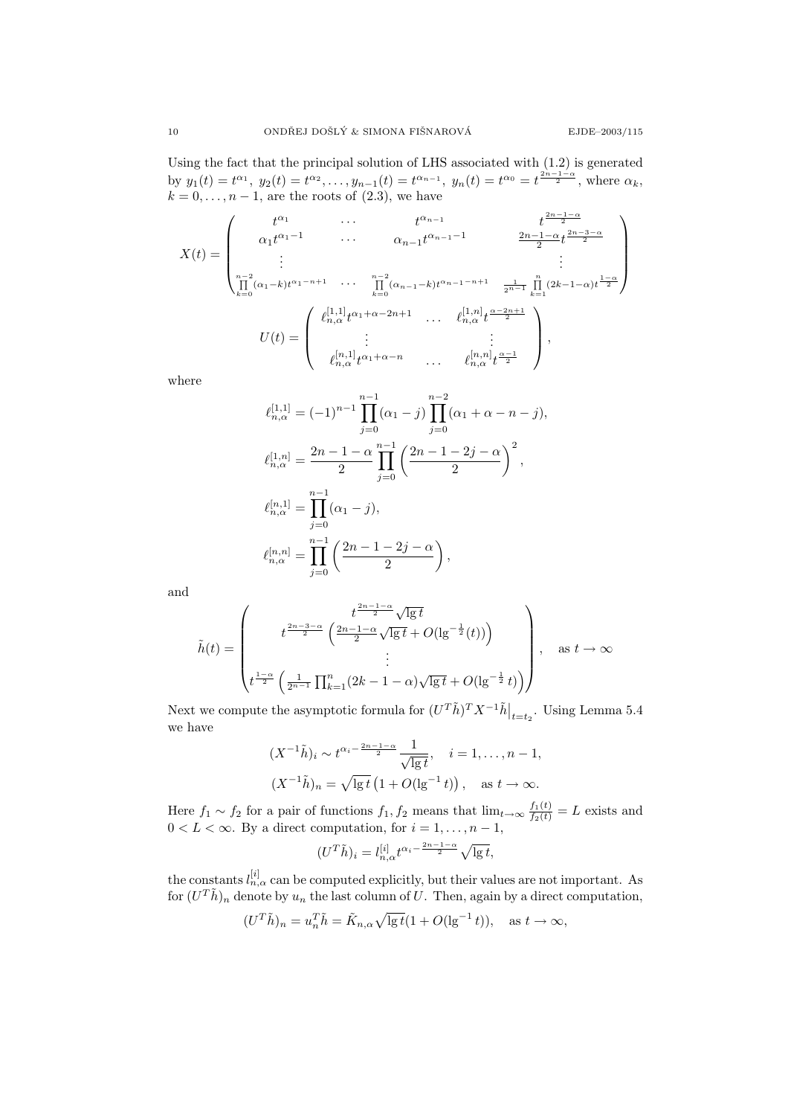Using the fact that the principal solution of LHS associated with (1.2) is generated by  $y_1(t) = t^{\alpha_1}$ ,  $y_2(t) = t^{\alpha_2}$ , ...,  $y_{n-1}(t) = t^{\alpha_{n-1}}$ ,  $y_n(t) = t^{\alpha_0} = t^{\frac{2n-1-\alpha}{2}}$ , where  $\alpha_k$ ,  $k = 0, \ldots, n - 1$ , are the roots of  $(2.3)$ , we have

$$
X(t) = \begin{pmatrix} t^{\alpha_1} & \cdots & t^{\alpha_{n-1}} & t^{\frac{2n-1-\alpha}{2}} \\ \alpha_1 t^{\alpha_1 - 1} & \cdots & \alpha_{n-1} t^{\alpha_{n-1} - 1} & \frac{2n-1-\alpha}{2} t^{\frac{2n-3-\alpha}{2}} \\ \vdots & \vdots & \vdots \\ \prod_{k=0}^{n-2} (\alpha_1 - k) t^{\alpha_1 - n + 1} & \cdots & \prod_{k=0}^{n-2} (\alpha_{n-1} - k) t^{\alpha_{n-1} - n + 1} & \frac{1}{2^{n-1}} \prod_{k=1}^{n} (2k - 1 - \alpha) t^{\frac{1-\alpha}{2}} \\ \vdots & \vdots & \vdots \\ U(t) = \begin{pmatrix} \ell_{n,\alpha}^{[1,1]} t^{\alpha_1 + \alpha - 2n + 1} & \cdots & \ell_{n,\alpha}^{[1,n]} t^{\frac{\alpha - 2n + 1}{2}} \\ \vdots & \vdots & \ddots & \vdots \\ \ell_{n,\alpha}^{[n,1]} t^{\alpha_1 + \alpha - n} & \cdots & \ell_{n,\alpha}^{[n,n]} t^{\frac{\alpha - 1}{2}} \end{pmatrix},
$$

where

$$
\ell_{n,\alpha}^{[1,1]} = (-1)^{n-1} \prod_{j=0}^{n-1} (\alpha_1 - j) \prod_{j=0}^{n-2} (\alpha_1 + \alpha - n - j),
$$
  

$$
\ell_{n,\alpha}^{[1,n]} = \frac{2n - 1 - \alpha}{2} \prod_{j=0}^{n-1} \left( \frac{2n - 1 - 2j - \alpha}{2} \right)^2,
$$
  

$$
\ell_{n,\alpha}^{[n,1]} = \prod_{j=0}^{n-1} (\alpha_1 - j),
$$
  

$$
\ell_{n,\alpha}^{[n,n]} = \prod_{j=0}^{n-1} \left( \frac{2n - 1 - 2j - \alpha}{2} \right),
$$

and

$$
\tilde{h}(t) = \begin{pmatrix} t^{\frac{2n-3-\alpha}{2}} \sqrt{\lg t} \\ t^{\frac{2n-3-\alpha}{2}} \left( \frac{2n-1-\alpha}{2} \sqrt{\lg t} + O(\lg^{-\frac{1}{2}}(t)) \right) \\ \vdots \\ t^{\frac{1-\alpha}{2}} \left( \frac{1}{2^{n-1}} \prod_{k=1}^{n} (2k-1-\alpha) \sqrt{\lg t} + O(\lg^{-\frac{1}{2}} t) \right) \end{pmatrix}, \text{ as } t \to \infty
$$

Next we compute the asymptotic formula for  $(U^T \tilde{h})^T X^{-1} \tilde{h} \big|_{t=t_2}$ . Using Lemma 5.4 we have

$$
(X^{-1}\tilde{h})_i \sim t^{\alpha_i - \frac{2n-1-\alpha}{2}} \frac{1}{\sqrt{\lg t}}, \quad i = 1, ..., n-1,
$$
  
 $(X^{-1}\tilde{h})_n = \sqrt{\lg t} (1 + O(\lg^{-1} t)), \quad \text{as } t \to \infty.$ 

Here  $f_1 \sim f_2$  for a pair of functions  $f_1, f_2$  means that  $\lim_{t\to\infty} \frac{f_1(t)}{f_2(t)} = L$  exists and  $0 < L < \infty$ . By a direct computation, for  $i = 1, \ldots, n - 1$ ,

$$
(U^T \tilde{h})_i = l_{n,\alpha}^{[i]} t^{\alpha_i - \frac{2n-1-\alpha}{2}} \sqrt{\lg t},
$$

the constants  $l_{n,\alpha}^{[i]}$  can be computed explicitly, but their values are not important. As for  $(U^T \tilde{h})_n$  denote by  $u_n$  the last column of U. Then, again by a direct computation,

$$
(U^T \tilde{h})_n = u_n^T \tilde{h} = \tilde{K}_{n,\alpha} \sqrt{\lg t} (1 + O(\lg^{-1} t)), \quad \text{as } t \to \infty,
$$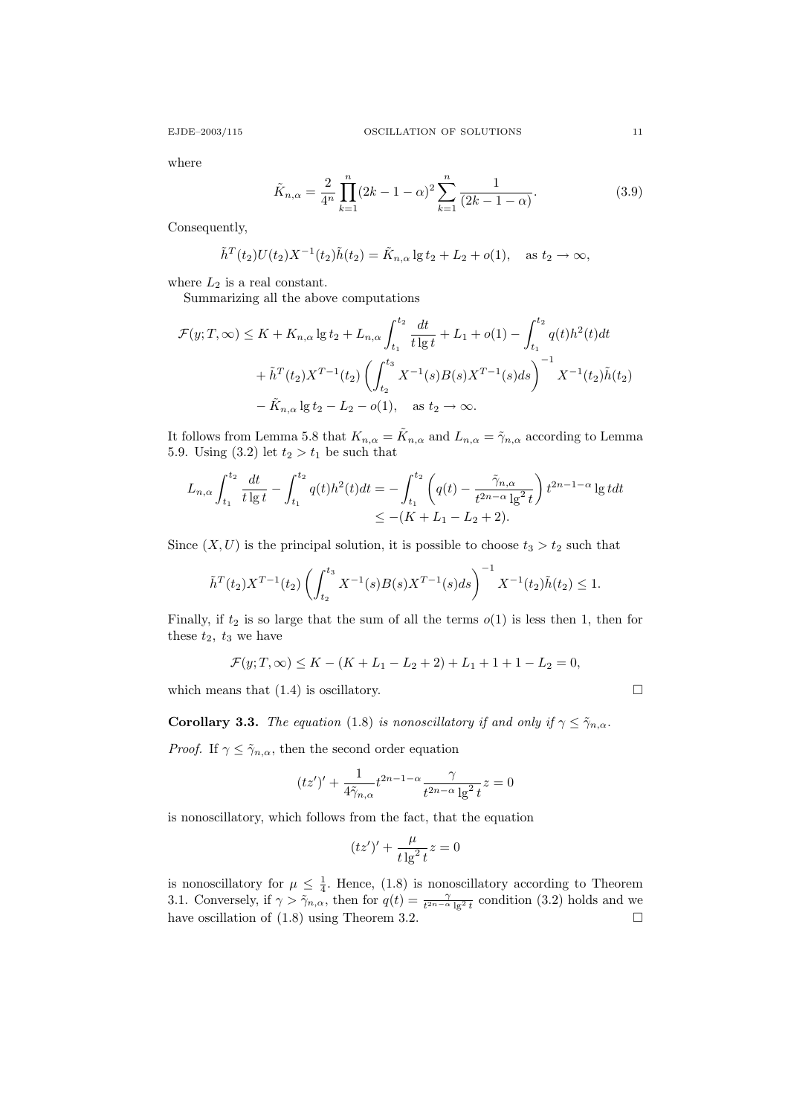where

$$
\tilde{K}_{n,\alpha} = \frac{2}{4^n} \prod_{k=1}^n (2k - 1 - \alpha)^2 \sum_{k=1}^n \frac{1}{(2k - 1 - \alpha)}.
$$
\n(3.9)

Consequently,

$$
\tilde{h}^{T}(t_{2})U(t_{2})X^{-1}(t_{2})\tilde{h}(t_{2}) = \tilde{K}_{n,\alpha} \lg t_{2} + L_{2} + o(1), \text{ as } t_{2} \to \infty,
$$

where  $L_2$  is a real constant.

Summarizing all the above computations

$$
\mathcal{F}(y;T,\infty) \leq K + K_{n,\alpha} \lg t_2 + L_{n,\alpha} \int_{t_1}^{t_2} \frac{dt}{t \lg t} + L_1 + o(1) - \int_{t_1}^{t_2} q(t)h^2(t)dt
$$
  
+  $\tilde{h}^T(t_2)X^{T-1}(t_2) \left( \int_{t_2}^{t_3} X^{-1}(s)B(s)X^{T-1}(s)ds \right)^{-1} X^{-1}(t_2)\tilde{h}(t_2)$   
-  $\tilde{K}_{n,\alpha} \lg t_2 - L_2 - o(1), \text{ as } t_2 \to \infty.$ 

It follows from Lemma 5.8 that  $K_{n,\alpha} = \tilde{K}_{n,\alpha}$  and  $L_{n,\alpha} = \tilde{\gamma}_{n,\alpha}$  according to Lemma 5.9. Using  $(3.2)$  let  $t_2 > t_1$  be such that

$$
L_{n,\alpha} \int_{t_1}^{t_2} \frac{dt}{t \lg t} - \int_{t_1}^{t_2} q(t)h^2(t)dt = -\int_{t_1}^{t_2} \left( q(t) - \frac{\tilde{\gamma}_{n,\alpha}}{t^{2n-\alpha} \lg^2 t} \right) t^{2n-1-\alpha} \lg t dt
$$
  

$$
\leq -(K + L_1 - L_2 + 2).
$$

Since  $(X, U)$  is the principal solution, it is possible to choose  $t_3 > t_2$  such that

$$
\tilde{h}^{T}(t_{2})X^{T-1}(t_{2})\left(\int_{t_{2}}^{t_{3}}X^{-1}(s)B(s)X^{T-1}(s)ds\right)^{-1}X^{-1}(t_{2})\tilde{h}(t_{2})\leq 1.
$$

Finally, if  $t_2$  is so large that the sum of all the terms  $o(1)$  is less then 1, then for these  $t_2$ ,  $t_3$  we have

$$
\mathcal{F}(y;T,\infty) \le K - (K + L_1 - L_2 + 2) + L_1 + 1 + 1 - L_2 = 0,
$$

which means that  $(1.4)$  is oscillatory.

**Corollary 3.3.** The equation (1.8) is nonoscillatory if and only if  $\gamma \leq \tilde{\gamma}_{n,\alpha}$ .

*Proof.* If  $\gamma \leq \tilde{\gamma}_{n,\alpha}$ , then the second order equation

$$
(tz')'+\frac{1}{4\tilde{\gamma}_{n,\alpha}}t^{2n-1-\alpha}\frac{\gamma}{t^{2n-\alpha}\lg^2 t}z=0
$$

is nonoscillatory, which follows from the fact, that the equation

$$
(tz')' + \frac{\mu}{t\lg^2 t}z = 0
$$

is nonoscillatory for  $\mu \leq \frac{1}{4}$ . Hence, (1.8) is nonoscillatory according to Theorem 3.1. Conversely, if  $\gamma > \tilde{\gamma}_{n,\alpha}$ , then for  $q(t) = \frac{\gamma}{t^{2n-\alpha}\lg^2 t}$  condition (3.2) holds and we have oscillation of  $(1.8)$  using Theorem 3.2.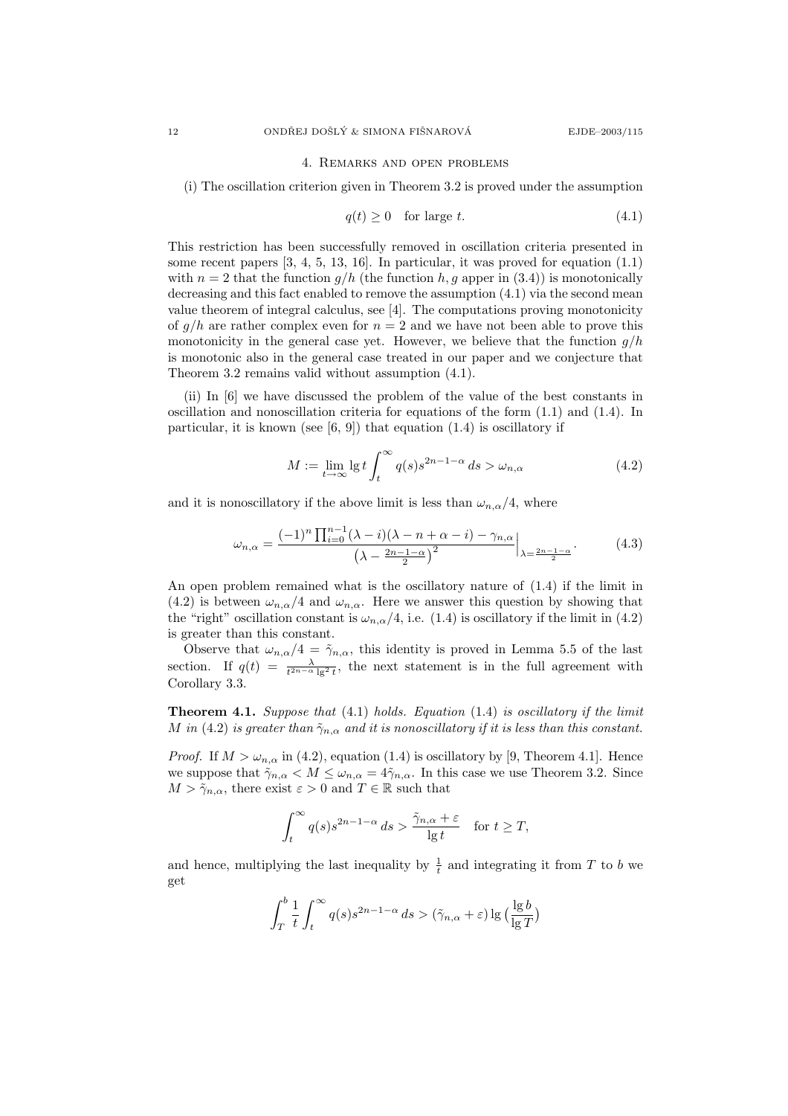#### 4. Remarks and open problems

(i) The oscillation criterion given in Theorem 3.2 is proved under the assumption

$$
q(t) \ge 0 \quad \text{for large } t. \tag{4.1}
$$

This restriction has been successfully removed in oscillation criteria presented in some recent papers [3, 4, 5, 13, 16]. In particular, it was proved for equation (1.1) with  $n = 2$  that the function  $g/h$  (the function h, g apper in (3.4)) is monotonically decreasing and this fact enabled to remove the assumption (4.1) via the second mean value theorem of integral calculus, see [4]. The computations proving monotonicity of  $g/h$  are rather complex even for  $n = 2$  and we have not been able to prove this monotonicity in the general case yet. However, we believe that the function  $g/h$ is monotonic also in the general case treated in our paper and we conjecture that Theorem 3.2 remains valid without assumption (4.1).

(ii) In [6] we have discussed the problem of the value of the best constants in oscillation and nonoscillation criteria for equations of the form (1.1) and (1.4). In particular, it is known (see  $[6, 9]$ ) that equation  $(1.4)$  is oscillatory if

$$
M := \lim_{t \to \infty} \lg t \int_{t}^{\infty} q(s) s^{2n - 1 - \alpha} ds > \omega_{n, \alpha}
$$
 (4.2)

and it is nonoscillatory if the above limit is less than  $\omega_{n,\alpha}/4$ , where

$$
\omega_{n,\alpha} = \frac{(-1)^n \prod_{i=0}^{n-1} (\lambda - i)(\lambda - n + \alpha - i) - \gamma_{n,\alpha}}{\left(\lambda - \frac{2n - 1 - \alpha}{2}\right)^2} \bigg|_{\lambda = \frac{2n - 1 - \alpha}{2}}.
$$
\n(4.3)

An open problem remained what is the oscillatory nature of (1.4) if the limit in (4.2) is between  $\omega_{n,\alpha}/4$  and  $\omega_{n,\alpha}$ . Here we answer this question by showing that the "right" oscillation constant is  $\omega_{n,\alpha}/4$ , i.e. (1.4) is oscillatory if the limit in (4.2) is greater than this constant.

Observe that  $\omega_{n,\alpha}/4 = \tilde{\gamma}_{n,\alpha}$ , this identity is proved in Lemma 5.5 of the last section. If  $q(t) = \frac{\lambda}{t^{2n-\alpha} \lg^2 t}$ , the next statement is in the full agreement with Corollary 3.3.

**Theorem 4.1.** Suppose that  $(4.1)$  holds. Equation  $(1.4)$  is oscillatory if the limit M in (4.2) is greater than  $\tilde{\gamma}_{n,\alpha}$  and it is nonoscillatory if it is less than this constant.

*Proof.* If  $M > \omega_{n,\alpha}$  in (4.2), equation (1.4) is oscillatory by [9, Theorem 4.1]. Hence we suppose that  $\tilde{\gamma}_{n,\alpha} < M \leq \omega_{n,\alpha} = 4\tilde{\gamma}_{n,\alpha}$ . In this case we use Theorem 3.2. Since  $M > \tilde{\gamma}_{n,\alpha}$ , there exist  $\varepsilon > 0$  and  $T \in \mathbb{R}$  such that

$$
\int_t^\infty q(s)s^{2n-1-\alpha}\,ds > \frac{\tilde{\gamma}_{n,\alpha}+\varepsilon}{\lg t} \quad \text{for } t \geq T,
$$

and hence, multiplying the last inequality by  $\frac{1}{t}$  and integrating it from T to b we get

$$
\int_T^b \frac{1}{t} \int_t^\infty q(s) s^{2n-1-\alpha} ds > (\tilde{\gamma}_{n,\alpha} + \varepsilon) \lg \big( \frac{\lg b}{\lg T} \big)
$$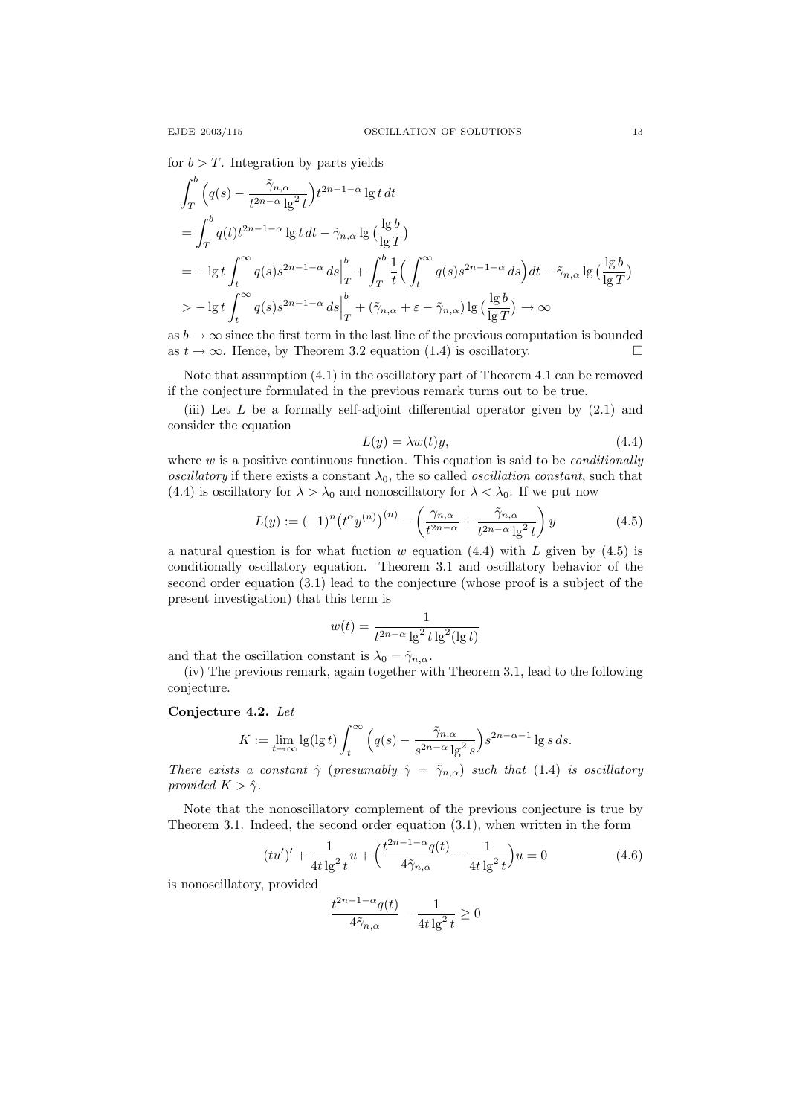for  $b > T$ . Integration by parts yields

$$
\int_{T}^{b} \left( q(s) - \frac{\tilde{\gamma}_{n,\alpha}}{t^{2n-\alpha} \lg^{2} t} \right) t^{2n-1-\alpha} \lg t \, dt
$$
\n
$$
= \int_{T}^{b} q(t) t^{2n-1-\alpha} \lg t \, dt - \tilde{\gamma}_{n,\alpha} \lg \left( \frac{\lg b}{\lg T} \right)
$$
\n
$$
= -\lg t \int_{t}^{\infty} q(s) s^{2n-1-\alpha} \, ds \Big|_{T}^{b} + \int_{T}^{b} \frac{1}{t} \Big( \int_{t}^{\infty} q(s) s^{2n-1-\alpha} \, ds \Big) dt - \tilde{\gamma}_{n,\alpha} \lg \left( \frac{\lg b}{\lg T} \right)
$$
\n
$$
> -\lg t \int_{t}^{\infty} q(s) s^{2n-1-\alpha} \, ds \Big|_{T}^{b} + (\tilde{\gamma}_{n,\alpha} + \varepsilon - \tilde{\gamma}_{n,\alpha}) \lg \left( \frac{\lg b}{\lg T} \right) \to \infty
$$

as  $b \to \infty$  since the first term in the last line of the previous computation is bounded as  $t \to \infty$ . Hence, by Theorem 3.2 equation (1.4) is oscillatory.

Note that assumption (4.1) in the oscillatory part of Theorem 4.1 can be removed if the conjecture formulated in the previous remark turns out to be true.

(iii) Let  $L$  be a formally self-adjoint differential operator given by  $(2.1)$  and consider the equation

$$
L(y) = \lambda w(t)y,\tag{4.4}
$$

where  $w$  is a positive continuous function. This equation is said to be *conditionally* oscillatory if there exists a constant  $\lambda_0$ , the so called *oscillation constant*, such that (4.4) is oscillatory for  $\lambda > \lambda_0$  and nonoscillatory for  $\lambda < \lambda_0$ . If we put now

$$
L(y) := (-1)^n \left( t^{\alpha} y^{(n)} \right)^{(n)} - \left( \frac{\gamma_{n,\alpha}}{t^{2n-\alpha}} + \frac{\tilde{\gamma}_{n,\alpha}}{t^{2n-\alpha} \lg^2 t} \right) y \tag{4.5}
$$

a natural question is for what fuction w equation  $(4.4)$  with L given by  $(4.5)$  is conditionally oscillatory equation. Theorem 3.1 and oscillatory behavior of the second order equation (3.1) lead to the conjecture (whose proof is a subject of the present investigation) that this term is

$$
w(t) = \frac{1}{t^{2n-\alpha} \lg^2 t \lg^2(\lg t)}
$$

and that the oscillation constant is  $\lambda_0 = \tilde{\gamma}_{n,\alpha}$ .

(iv) The previous remark, again together with Theorem 3.1, lead to the following conjecture.

### Conjecture 4.2. Let

$$
K := \lim_{t \to \infty} \lg(\lg t) \int_t^{\infty} \left( q(s) - \frac{\tilde{\gamma}_{n,\alpha}}{s^{2n-\alpha} \lg^2 s} \right) s^{2n-\alpha-1} \lg s \, ds.
$$

There exists a constant  $\hat{\gamma}$  (presumably  $\hat{\gamma} = \tilde{\gamma}_{n,\alpha}$ ) such that (1.4) is oscillatory provided  $K > \hat{\gamma}$ .

Note that the nonoscillatory complement of the previous conjecture is true by Theorem 3.1. Indeed, the second order equation (3.1), when written in the form

$$
(tu')' + \frac{1}{4t\lg^2 t}u + \left(\frac{t^{2n-1-\alpha}q(t)}{4\tilde{\gamma}_{n,\alpha}} - \frac{1}{4t\lg^2 t}\right)u = 0\tag{4.6}
$$

is nonoscillatory, provided

$$
\frac{t^{2n-1-\alpha}q(t)}{4\tilde{\gamma}_{n,\alpha}} - \frac{1}{4t\lg^2 t} \ge 0
$$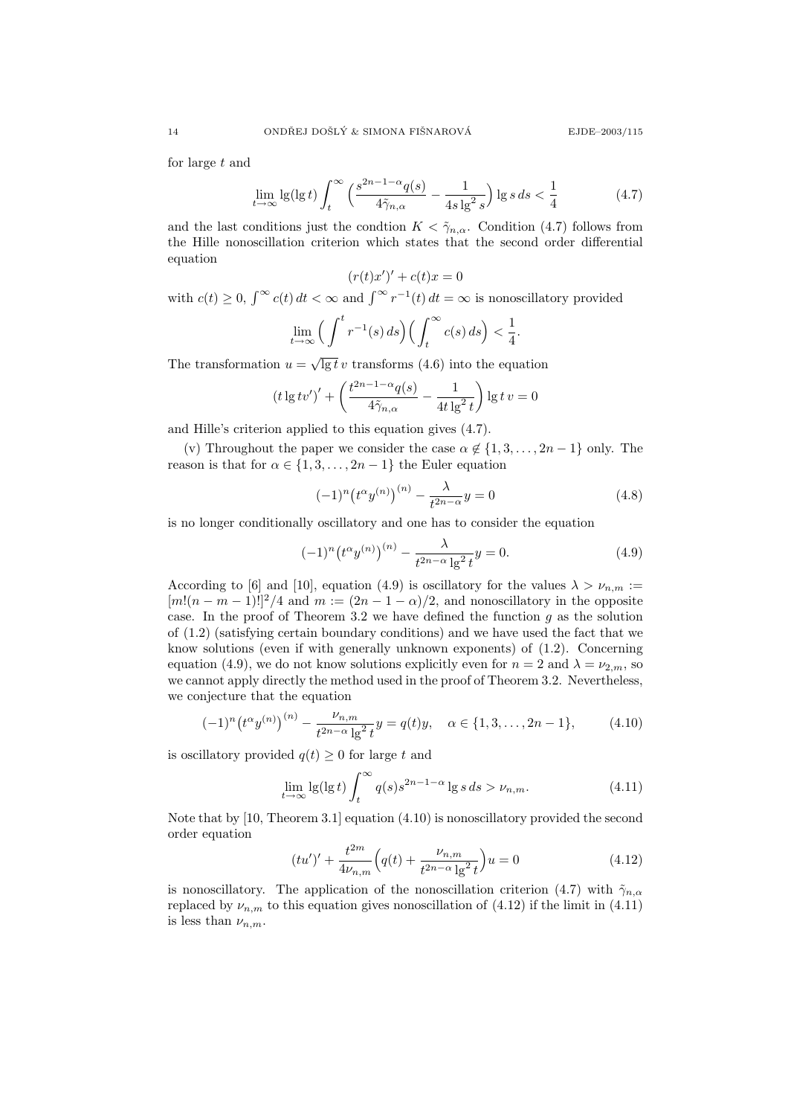for large t and

$$
\lim_{t \to \infty} \lg(\lg t) \int_{t}^{\infty} \left( \frac{s^{2n-1-\alpha} q(s)}{4\tilde{\gamma}_{n,\alpha}} - \frac{1}{4s \lg^2 s} \right) \lg s \, ds < \frac{1}{4} \tag{4.7}
$$

and the last conditions just the condtion  $K < \tilde{\gamma}_{n,\alpha}$ . Condition (4.7) follows from the Hille nonoscillation criterion which states that the second order differential equation

$$
(r(t)x')' + c(t)x = 0
$$

with  $c(t) \geq 0$ ,  $\int_{-\infty}^{\infty} c(t) dt < \infty$  and  $\int_{-\infty}^{\infty} r^{-1}(t) dt = \infty$  is nonoscillatory provided

$$
\lim_{t \to \infty} \Big( \int^t r^{-1}(s) \, ds \Big) \Big( \int_t^\infty c(s) \, ds \Big) < \frac{1}{4}.
$$

The transformation  $u = \sqrt{\lg t} v$  transforms (4.6) into the equation

$$
(t \lg tv')' + \left(\frac{t^{2n-1-\alpha}q(s)}{4\tilde{\gamma}_{n,\alpha}} - \frac{1}{4t \lg^2 t}\right) \lg tv = 0
$$

and Hille's criterion applied to this equation gives (4.7).

(v) Throughout the paper we consider the case  $\alpha \notin \{1, 3, \ldots, 2n-1\}$  only. The reason is that for  $\alpha \in \{1, 3, \ldots, 2n-1\}$  the Euler equation

$$
(-1)^{n} (t^{\alpha} y^{(n)})^{(n)} - \frac{\lambda}{t^{2n-\alpha}} y = 0
$$
\n(4.8)

is no longer conditionally oscillatory and one has to consider the equation

$$
(-1)^{n} \left(t^{\alpha} y^{(n)}\right)^{(n)} - \frac{\lambda}{t^{2n-\alpha} \lg^{2} t} y = 0.
$$
 (4.9)

According to [6] and [10], equation (4.9) is oscillatory for the values  $\lambda > \nu_{n,m}$ :  $[m!(n-m-1)!]^2/4$  and  $m := (2n-1-\alpha)/2$ , and nonoscillatory in the opposite case. In the proof of Theorem 3.2 we have defined the function  $g$  as the solution of (1.2) (satisfying certain boundary conditions) and we have used the fact that we know solutions (even if with generally unknown exponents) of (1.2). Concerning equation (4.9), we do not know solutions explicitly even for  $n = 2$  and  $\lambda = \nu_{2,m}$ , so we cannot apply directly the method used in the proof of Theorem 3.2. Nevertheless, we conjecture that the equation

$$
(-1)^n \left(t^{\alpha} y^{(n)}\right)^{(n)} - \frac{\nu_{n,m}}{t^{2n-\alpha} \lg^2 t} y = q(t)y, \quad \alpha \in \{1, 3, \dots, 2n-1\},\tag{4.10}
$$

is oscillatory provided  $q(t) \geq 0$  for large t and

$$
\lim_{t \to \infty} \lg(\lg t) \int_{t}^{\infty} q(s) s^{2n-1-\alpha} \lg s \, ds > \nu_{n,m}.
$$
\n(4.11)

Note that by [10, Theorem 3.1] equation (4.10) is nonoscillatory provided the second order equation

$$
(tu')' + \frac{t^{2m}}{4\nu_{n,m}} \left( q(t) + \frac{\nu_{n,m}}{t^{2n-\alpha} \lg^2 t} \right) u = 0 \tag{4.12}
$$

is nonoscillatory. The application of the nonoscillation criterion (4.7) with  $\tilde{\gamma}_{n,\alpha}$ replaced by  $\nu_{n,m}$  to this equation gives nonoscillation of (4.12) if the limit in (4.11) is less than  $\nu_{n,m}$ .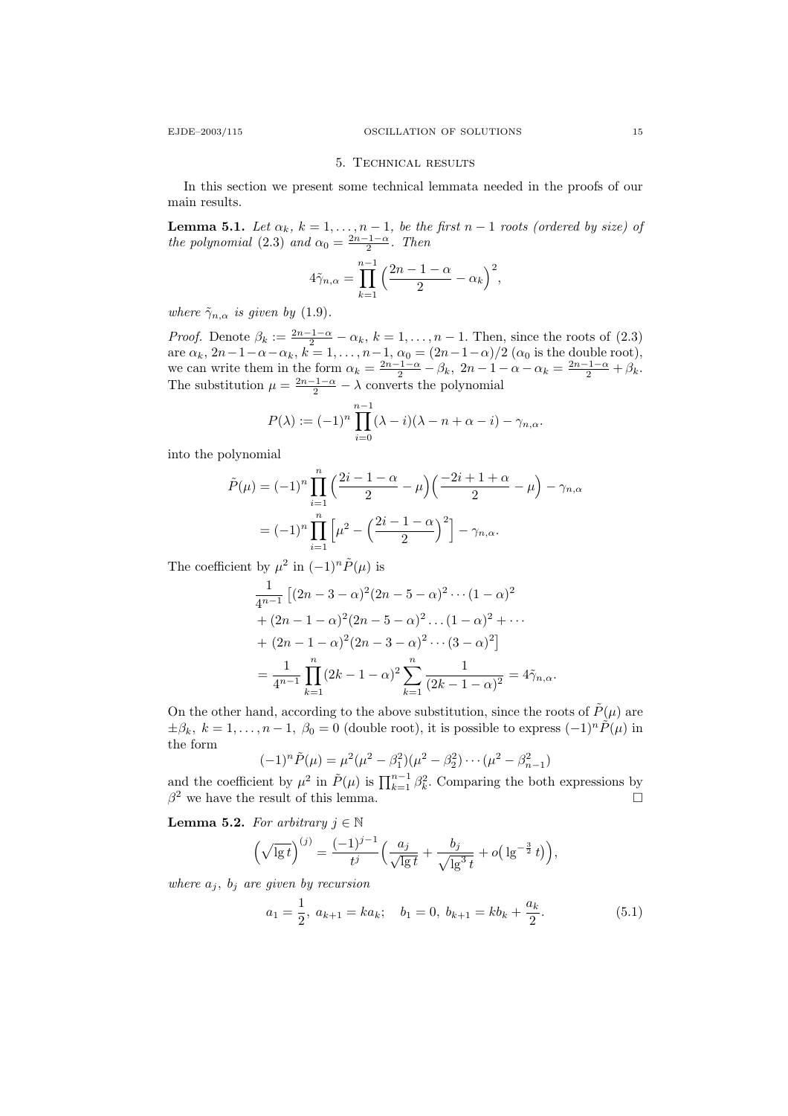### 5. Technical results

In this section we present some technical lemmata needed in the proofs of our main results.

**Lemma 5.1.** Let  $\alpha_k$ ,  $k = 1, \ldots, n - 1$ , be the first  $n - 1$  roots (ordered by size) of the polynomial (2.3) and  $\alpha_0 = \frac{2n-1-\alpha}{2}$ . Then

$$
4\tilde{\gamma}_{n,\alpha} = \prod_{k=1}^{n-1} \left(\frac{2n-1-\alpha}{2} - \alpha_k\right)^2,
$$

where  $\tilde{\gamma}_{n,\alpha}$  is given by (1.9).

*Proof.* Denote  $\beta_k := \frac{2n-1-\alpha}{2} - \alpha_k$ ,  $k = 1, \ldots, n-1$ . Then, since the roots of (2.3) are  $\alpha_k$ ,  $2n-1-\alpha-\alpha_k$ ,  $k=1,\ldots,n-1$ ,  $\alpha_0=(2n-1-\alpha)/2$   $(\alpha_0$  is the double root), we can write them in the form  $\alpha_k = \frac{2n-1-\alpha}{2} - \beta_k$ ,  $2n-1-\alpha-\alpha_k = \frac{2n-1-\alpha}{2} + \beta_k$ . The substitution  $\mu = \frac{2n-1-\alpha}{2} - \lambda$  converts the polynomial

$$
P(\lambda) := (-1)^n \prod_{i=0}^{n-1} (\lambda - i)(\lambda - n + \alpha - i) - \gamma_{n,\alpha}.
$$

into the polynomial

$$
\tilde{P}(\mu) = (-1)^n \prod_{i=1}^n \left( \frac{2i - 1 - \alpha}{2} - \mu \right) \left( \frac{-2i + 1 + \alpha}{2} - \mu \right) - \gamma_{n,\alpha}
$$

$$
= (-1)^n \prod_{i=1}^n \left[ \mu^2 - \left( \frac{2i - 1 - \alpha}{2} \right)^2 \right] - \gamma_{n,\alpha}.
$$

The coefficient by  $\mu^2$  in  $(-1)^n \tilde{P}(\mu)$  is

$$
\frac{1}{4^{n-1}} \left[ (2n - 3 - \alpha)^2 (2n - 5 - \alpha)^2 \cdots (1 - \alpha)^2 + (2n - 1 - \alpha)^2 (2n - 5 - \alpha)^2 \cdots (1 - \alpha)^2 + \cdots + (2n - 1 - \alpha)^2 (2n - 3 - \alpha)^2 \cdots (3 - \alpha)^2 \right]
$$

$$
= \frac{1}{4^{n-1}} \prod_{k=1}^n (2k - 1 - \alpha)^2 \sum_{k=1}^n \frac{1}{(2k - 1 - \alpha)^2} = 4\tilde{\gamma}_{n,\alpha}.
$$

On the other hand, according to the above substitution, since the roots of  $\tilde{P}(\mu)$  are  $\pm\beta_k$ ,  $k = 1, \ldots, n-1$ ,  $\beta_0 = 0$  (double root), it is possible to express  $(-1)^n \tilde{P}(\mu)$  in the form

$$
(-1)^n \tilde{P}(\mu) = \mu^2 (\mu^2 - \beta_1^2)(\mu^2 - \beta_2^2) \cdots (\mu^2 - \beta_{n-1}^2)
$$

and the coefficient by  $\mu^2$  in  $\tilde{P}(\mu)$  is  $\prod_{k=1}^{n-1} \beta_k^2$ . Comparing the both expressions by  $\beta^2$  we have the result of this lemma.

**Lemma 5.2.** For arbitrary  $j \in \mathbb{N}$ 

$$
\left(\sqrt{\lg t}\right)^{(j)} = \frac{(-1)^{j-1}}{t^j} \left(\frac{a_j}{\sqrt{\lg t}} + \frac{b_j}{\sqrt{\lg^3 t}} + o\left(\lg^{-\frac{3}{2}} t\right)\right),\,
$$

where  $a_j$ ,  $b_j$  are given by recursion

$$
a_1 = \frac{1}{2}, \ a_{k+1} = ka_k; \quad b_1 = 0, \ b_{k+1} = kb_k + \frac{a_k}{2}.
$$
 (5.1)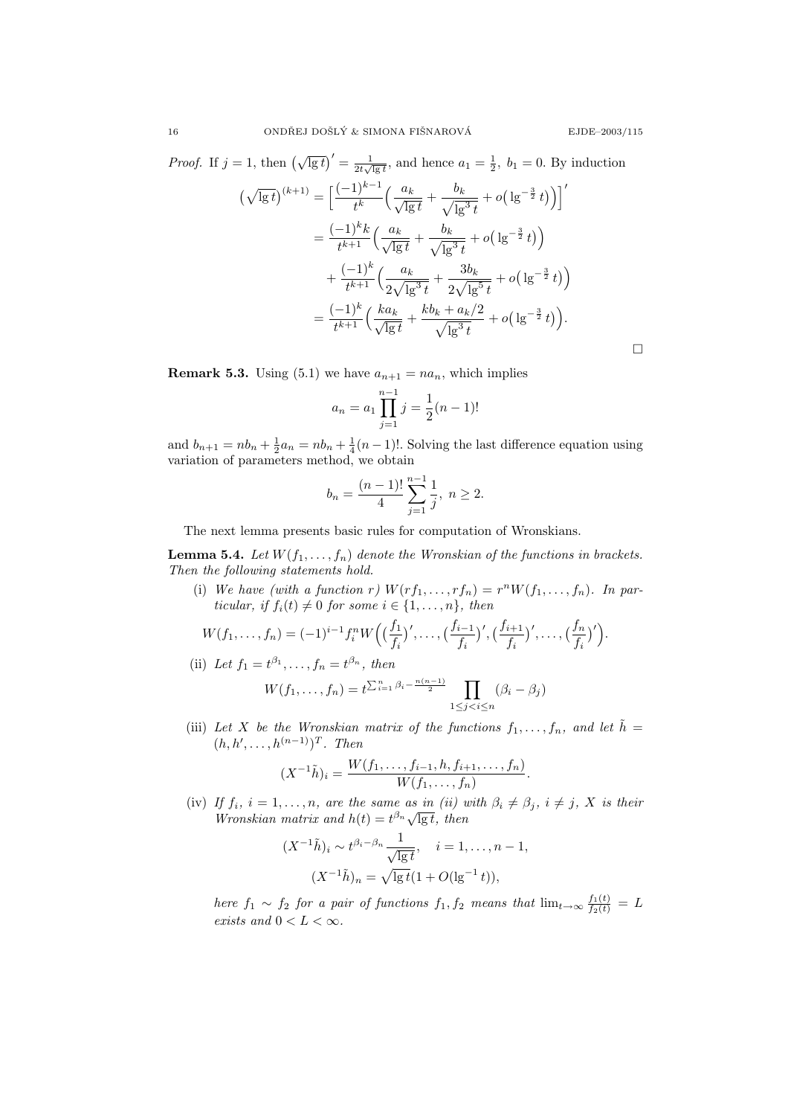*Proof.* If  $j = 1$ , then  $(\sqrt{\lg t})' = \frac{1}{2t\sqrt{\lg t}}$ , and hence  $a_1 = \frac{1}{2}$ ,  $b_1 = 0$ . By induction  $\left(\sqrt{\lg t}\right)^{(k+1)} = \left[\frac{(-1)^{k-1}}{k}\right]$  $\frac{(1)^{k-1}}{t^k}\Big(\frac{a_k}{\sqrt{\lg t}}+\frac{b_k}{\sqrt{\lg t}}\Big)$  $\lg^3 t$  $+ o(\lg^{-\frac{3}{2}} t)\big)\big]$  $=\frac{(-1)^k k}{k+1}$  $\frac{(-1)^k k}{t^{k+1}} \Big( \frac{a_k}{\sqrt{\lg t}} + \frac{b_k}{\sqrt{\lg t}} \Big)$  $\lg^3 t$  $+ o(\lg^{-\frac{3}{2}} t)$  $+\frac{(-1)^k}{\sqrt{k+1}}$  $\frac{(-1)^k}{t^{k+1}} \Big(\frac{a_k}{2\sqrt{\lg^3 t}}$  $+\frac{3b_k}{\sqrt{2}}$  $2\sqrt{\lg^5 t}$  $+ o(\lg^{-\frac{3}{2}} t)$  $=\frac{(-1)^k}{4k+1}$  $\frac{(-1)^k}{t^{k+1}}\Big(\frac{ka_k}{\sqrt{\lg t}}+\frac{kb_k+a_k/2}{\sqrt{\lg^3 t}}\Big)$  $\sqrt{\lg^3 t}$  $+ o(\lg^{-\frac{3}{2}}t)).$  $\Box$ 

**Remark 5.3.** Using (5.1) we have  $a_{n+1} = na_n$ , which implies

$$
a_n = a_1 \prod_{j=1}^{n-1} j = \frac{1}{2}(n-1)!
$$

and  $b_{n+1} = nb_n + \frac{1}{2}a_n = nb_n + \frac{1}{4}(n-1)!$ . Solving the last difference equation using variation of parameters method, we obtain

$$
b_n = \frac{(n-1)!}{4} \sum_{j=1}^{n-1} \frac{1}{j}, \ n \ge 2.
$$

The next lemma presents basic rules for computation of Wronskians.

**Lemma 5.4.** Let  $W(f_1, \ldots, f_n)$  denote the Wronskian of the functions in brackets. Then the following statements hold.

(i) We have (with a function r)  $W(rf_1,\ldots,rf_n)=r^nW(f_1,\ldots,f_n)$ . In particular, if  $f_i(t) \neq 0$  for some  $i \in \{1, \ldots, n\}$ , then

$$
W(f_1,\ldots,f_n) = (-1)^{i-1} f_i^n W\Big(\Big(\frac{f_1}{f_i}\Big)',\ldots,\Big(\frac{f_{i-1}}{f_i}\Big)',\Big(\frac{f_{i+1}}{f_i}\Big)',\ldots,\Big(\frac{f_n}{f_i}\Big)'\Big).
$$

(ii) Let  $f_1 = t^{\beta_1}, \ldots, f_n = t^{\beta_n}$ , then

$$
W(f_1, ..., f_n) = t^{\sum_{i=1}^n \beta_i - \frac{n(n-1)}{2}} \prod_{1 \le j < i \le n} (\beta_i - \beta_j)
$$

(iii) Let X be the Wronskian matrix of the functions  $f_1, \ldots, f_n$ , and let  $\tilde{h} =$  $(h, h', \ldots, h^{(n-1)})^T$ . Then

$$
(X^{-1}\tilde{h})_i = \frac{W(f_1,\ldots,f_{i-1},h,f_{i+1},\ldots,f_n)}{W(f_1,\ldots,f_n)}.
$$

(iv) If  $f_i$ ,  $i = 1, \ldots, n$ , are the same as in (ii) with  $\beta_i \neq \beta_j$ ,  $i \neq j$ , X is their Wronskian matrix and  $h(t) = t^{\beta_n} \sqrt{\lg t}$ , then

$$
(X^{-1}\tilde{h})_i \sim t^{\beta_i - \beta_n} \frac{1}{\sqrt{\lg t}}, \quad i = 1, \dots, n-1,
$$

$$
(X^{-1}\tilde{h})_n = \sqrt{\lg t}(1 + O(\lg^{-1} t)),
$$

here  $f_1 \sim f_2$  for a pair of functions  $f_1, f_2$  means that  $\lim_{t\to\infty} \frac{f_1(t)}{f_2(t)} = L$ exists and  $0 < L < \infty$ .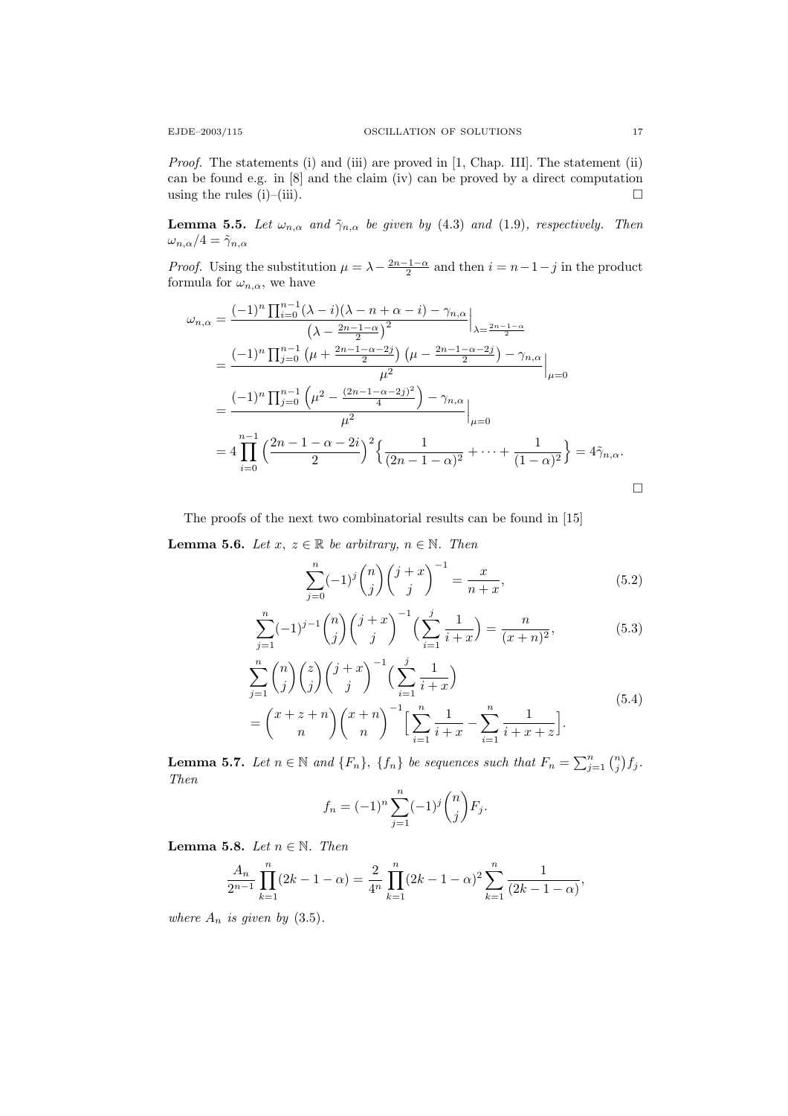Proof. The statements (i) and (iii) are proved in [1, Chap. III]. The statement (ii) can be found e.g. in [8] and the claim (iv) can be proved by a direct computation using the rules (i)–(iii).  $\Box$ 

**Lemma 5.5.** Let  $\omega_{n,\alpha}$  and  $\tilde{\gamma}_{n,\alpha}$  be given by (4.3) and (1.9), respectively. Then  $\omega_{n,\alpha}/4 = \tilde{\gamma}_{n,\alpha}$ 

*Proof.* Using the substitution  $\mu = \lambda - \frac{2n-1-\alpha}{2}$  and then  $i = n-1-j$  in the product formula for  $\omega_{n,\alpha}$ , we have

$$
\omega_{n,\alpha} = \frac{(-1)^n \prod_{i=0}^{n-1} (\lambda - i)(\lambda - n + \alpha - i) - \gamma_{n,\alpha}}{(\lambda - \frac{2n - 1 - \alpha}{2})^2} \Big|_{\lambda = \frac{2n - 1 - \alpha}{2}} \n= \frac{(-1)^n \prod_{j=0}^{n-1} (\mu + \frac{2n - 1 - \alpha - 2j}{2}) (\mu - \frac{2n - 1 - \alpha - 2j}{2}) - \gamma_{n,\alpha}}{\mu^2} \Big|_{\mu=0} \n= 4 \prod_{i=0}^{n-1} \left( \frac{2n - 1 - \alpha - 2i}{2} \right)^2 \left\{ \frac{1}{(2n - 1 - \alpha)^2} + \dots + \frac{1}{(1 - \alpha)^2} \right\} = 4 \tilde{\gamma}_{n,\alpha}.
$$

The proofs of the next two combinatorial results can be found in [15] **Lemma 5.6.** Let  $x, z \in \mathbb{R}$  be arbitrary,  $n \in \mathbb{N}$ . Then

$$
\sum_{j=0}^{n} (-1)^{j} {n \choose j} {j+x \choose j}^{-1} = \frac{x}{n+x},
$$
\n(5.2)

$$
\sum_{j=1}^{n}(-1)^{j-1}\binom{n}{j}\binom{j+x}{j}^{-1}\left(\sum_{i=1}^{j}\frac{1}{i+x}\right) = \frac{n}{(x+n)^2},\tag{5.3}
$$

$$
\sum_{j=1}^{n} {n \choose j} {z \choose j} {j+x \choose j}^{-1} \left( \sum_{i=1}^{j} \frac{1}{i+x} \right)
$$
\n
$$
= {x+z+n \choose n} {x+n \choose n}^{-1} \left[ \sum_{i=1}^{n} \frac{1}{i+x} - \sum_{i=1}^{n} \frac{1}{i+x+z} \right].
$$
\n(5.4)

**Lemma 5.7.** Let  $n \in \mathbb{N}$  and  $\{F_n\}$ ,  $\{f_n\}$  be sequences such that  $F_n = \sum_{j=1}^n {n \choose j} f_j$ . Then

$$
f_n = (-1)^n \sum_{j=1}^n (-1)^j \binom{n}{j} F_j.
$$

Lemma 5.8. Let  $n \in \mathbb{N}$ . Then

$$
\frac{A_n}{2^{n-1}}\prod_{k=1}^n(2k-1-\alpha) = \frac{2}{4^n}\prod_{k=1}^n(2k-1-\alpha)^2\sum_{k=1}^n\frac{1}{(2k-1-\alpha)},
$$

where  $A_n$  is given by (3.5).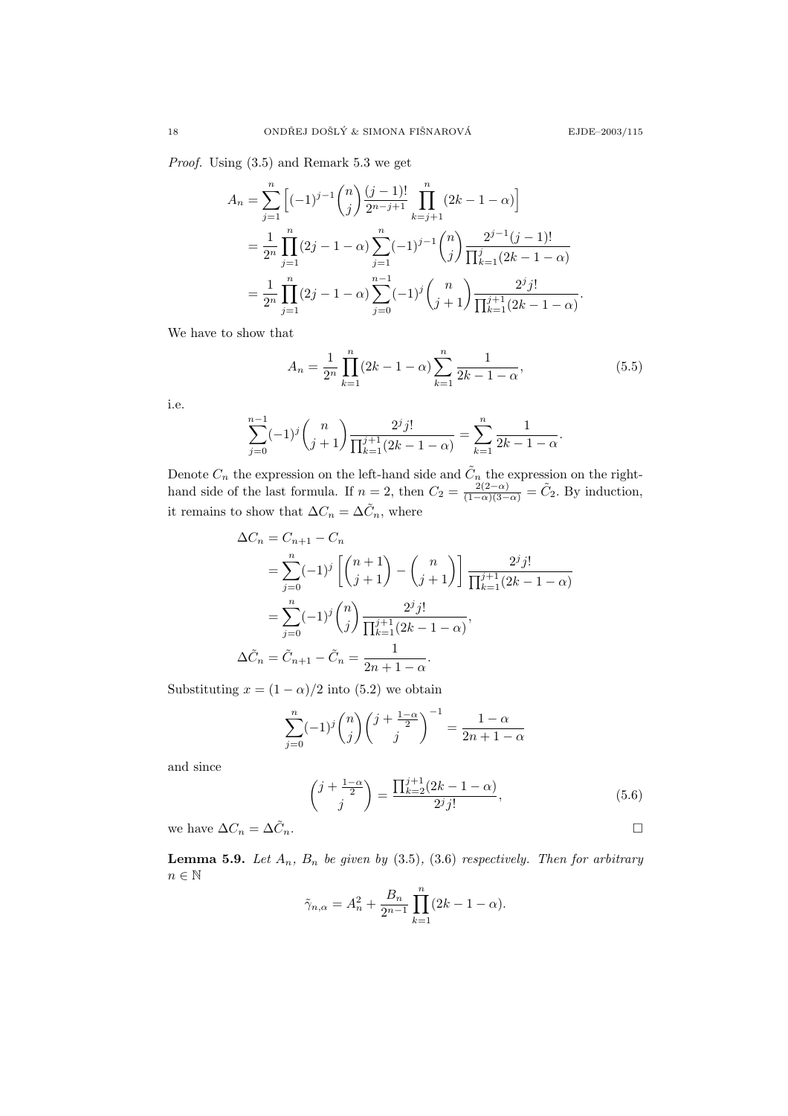Proof. Using (3.5) and Remark 5.3 we get

$$
A_n = \sum_{j=1}^n \left[ (-1)^{j-1} \binom{n}{j} \frac{(j-1)!}{2^{n-j+1}} \prod_{k=j+1}^n (2k - 1 - \alpha) \right]
$$
  
= 
$$
\frac{1}{2^n} \prod_{j=1}^n (2j - 1 - \alpha) \sum_{j=1}^n (-1)^{j-1} \binom{n}{j} \frac{2^{j-1} (j-1)!}{\prod_{k=1}^j (2k - 1 - \alpha)}
$$
  
= 
$$
\frac{1}{2^n} \prod_{j=1}^n (2j - 1 - \alpha) \sum_{j=0}^{n-1} (-1)^j \binom{n}{j+1} \frac{2^j j!}{\prod_{k=1}^{j+1} (2k - 1 - \alpha)}.
$$

We have to show that

$$
A_n = \frac{1}{2^n} \prod_{k=1}^n (2k - 1 - \alpha) \sum_{k=1}^n \frac{1}{2k - 1 - \alpha},
$$
\n(5.5)

i.e.

$$
\sum_{j=0}^{n-1}(-1)^j \binom{n}{j+1} \frac{2^j j!}{\prod_{k=1}^{j+1} (2k-1-\alpha)} = \sum_{k=1}^n \frac{1}{2k-1-\alpha}.
$$

Denote  $C_n$  the expression on the left-hand side and  $\tilde{C}_n$  the expression on the righthand side of the last formula. If  $n = 2$ , then  $C_2 = \frac{2(2-\alpha)}{(1-\alpha)(3-\alpha)} = \tilde{C}_2$ . By induction, it remains to show that  $\Delta C_n = \Delta \tilde{C}_n$ , where

$$
\Delta C_n = C_{n+1} - C_n
$$
  
=  $\sum_{j=0}^n (-1)^j \left[ \binom{n+1}{j+1} - \binom{n}{j+1} \right] \frac{2^j j!}{\prod_{k=1}^{j+1} (2k - 1 - \alpha)}$   
=  $\sum_{j=0}^n (-1)^j \binom{n}{j} \frac{2^j j!}{\prod_{k=1}^{j+1} (2k - 1 - \alpha)},$   
 $\Delta \tilde{C}_n = \tilde{C}_{n+1} - \tilde{C}_n = \frac{1}{2n + 1 - \alpha}.$ 

Substituting  $x = (1 - \alpha)/2$  into (5.2) we obtain

$$
\sum_{j=0}^{n}(-1)^{j}\binom{n}{j}\binom{j+\frac{1-\alpha}{2}}{j}^{-1} = \frac{1-\alpha}{2n+1-\alpha}
$$

and since

$$
\binom{j + \frac{1 - \alpha}{2}}{j} = \frac{\prod_{k=2}^{j+1} (2k - 1 - \alpha)}{2^j j!},
$$
\n
$$
\binom{n}{j} = \frac{\prod_{k=1}^{j+1} (2k - 1 - \alpha)}{2^j j!},
$$
\n
$$
\Box
$$

we have  $\Delta C_n = \Delta \tilde{C}_n.$ 

**Lemma 5.9.** Let  $A_n$ ,  $B_n$  be given by (3.5), (3.6) respectively. Then for arbitrary  $n\in\mathbb{N}$ 

$$
\tilde{\gamma}_{n,\alpha} = A_n^2 + \frac{B_n}{2^{n-1}} \prod_{k=1}^n (2k - 1 - \alpha).
$$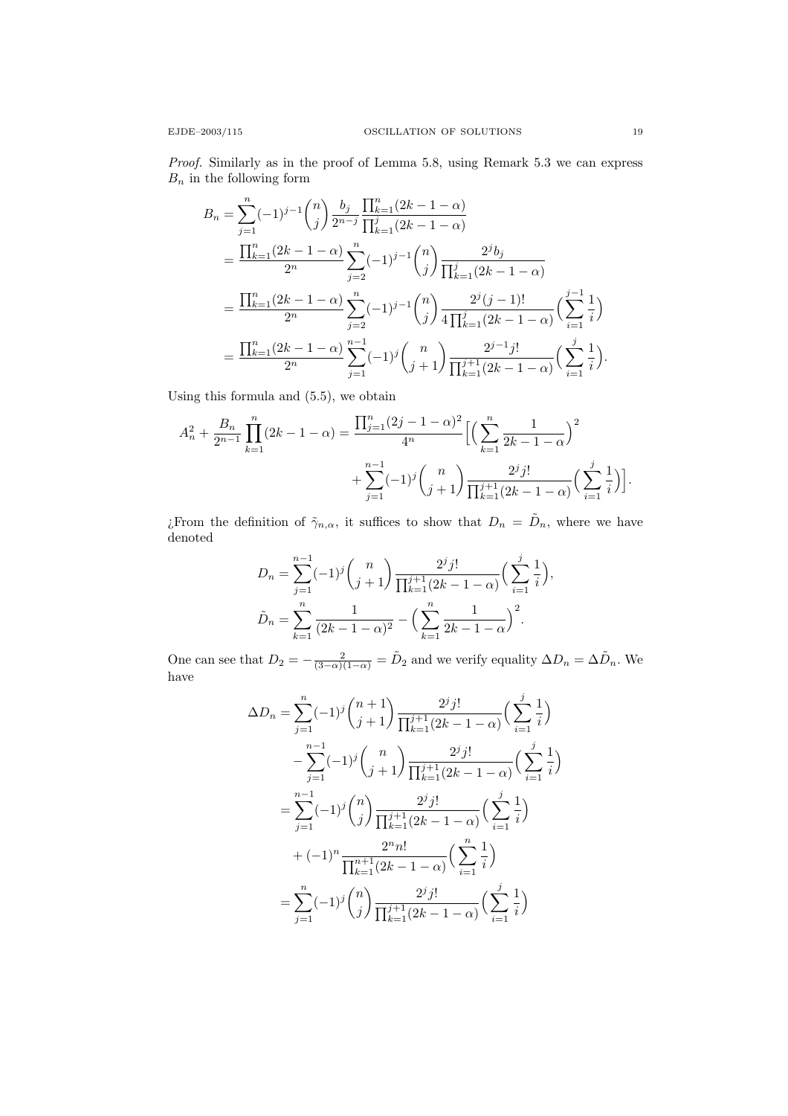Proof. Similarly as in the proof of Lemma 5.8, using Remark 5.3 we can express  $\mathcal{B}_n$  in the following form

$$
B_n = \sum_{j=1}^n (-1)^{j-1} \binom{n}{j} \frac{b_j}{2^{n-j}} \frac{\prod_{k=1}^n (2k-1-\alpha)}{\prod_{k=1}^j (2k-1-\alpha)}
$$
  
= 
$$
\frac{\prod_{k=1}^n (2k-1-\alpha)}{2^n} \sum_{j=2}^n (-1)^{j-1} \binom{n}{j} \frac{2^j b_j}{\prod_{k=1}^j (2k-1-\alpha)}
$$
  
= 
$$
\frac{\prod_{k=1}^n (2k-1-\alpha)}{2^n} \sum_{j=2}^n (-1)^{j-1} \binom{n}{j} \frac{2^j (j-1)!}{4 \prod_{k=1}^j (2k-1-\alpha)} \left(\sum_{i=1}^{j-1} \frac{1}{i}\right)
$$
  
= 
$$
\frac{\prod_{k=1}^n (2k-1-\alpha)}{2^n} \sum_{j=1}^{n-1} (-1)^j \binom{n}{j+1} \frac{2^{j-1} j!}{\prod_{k=1}^{j+1} (2k-1-\alpha)} \left(\sum_{i=1}^j \frac{1}{i}\right).
$$

Using this formula and (5.5), we obtain

$$
A_n^2 + \frac{B_n}{2^{n-1}} \prod_{k=1}^n (2k - 1 - \alpha) = \frac{\prod_{j=1}^n (2j - 1 - \alpha)^2}{4^n} \Big[ \Big( \sum_{k=1}^n \frac{1}{2k - 1 - \alpha} \Big)^2 + \sum_{j=1}^{n-1} (-1)^j {n \choose j+1} \frac{2^j j!}{\prod_{k=1}^{j+1} (2k - 1 - \alpha)} \Big( \sum_{i=1}^j \frac{1}{i} \Big) \Big].
$$

¿From the definition of  $\tilde{\gamma}_{n,\alpha}$ , it suffices to show that  $D_n = \tilde{D}_n$ , where we have denoted

$$
D_n = \sum_{j=1}^{n-1} (-1)^j {n \choose j+1} \frac{2^j j!}{\prod_{k=1}^{j+1} (2k-1-\alpha)} \Big(\sum_{i=1}^j \frac{1}{i}\Big),
$$
  

$$
\tilde{D}_n = \sum_{k=1}^n \frac{1}{(2k-1-\alpha)^2} - \Big(\sum_{k=1}^n \frac{1}{2k-1-\alpha}\Big)^2.
$$

One can see that  $D_2 = -\frac{2}{(3-\alpha)(1-\alpha)} = \tilde{D}_2$  and we verify equality  $\Delta D_n = \Delta \tilde{D}_n$ . We have

$$
\Delta D_n = \sum_{j=1}^n (-1)^j \binom{n+1}{j+1} \frac{2^j j!}{\prod_{k=1}^{j+1} (2k-1-\alpha)} \Big(\sum_{i=1}^j \frac{1}{i}\Big)
$$
  

$$
- \sum_{j=1}^{n-1} (-1)^j \binom{n}{j+1} \frac{2^j j!}{\prod_{k=1}^{j+1} (2k-1-\alpha)} \Big(\sum_{i=1}^j \frac{1}{i}\Big)
$$
  

$$
= \sum_{j=1}^{n-1} (-1)^j \binom{n}{j} \frac{2^j j!}{\prod_{k=1}^{j+1} (2k-1-\alpha)} \Big(\sum_{i=1}^j \frac{1}{i}\Big)
$$
  

$$
+ (-1)^n \frac{2^n n!}{\prod_{k=1}^{n+1} (2k-1-\alpha)} \Big(\sum_{i=1}^n \frac{1}{i}\Big)
$$
  

$$
= \sum_{j=1}^n (-1)^j \binom{n}{j} \frac{2^j j!}{\prod_{k=1}^{j+1} (2k-1-\alpha)} \Big(\sum_{i=1}^j \frac{1}{i}\Big)
$$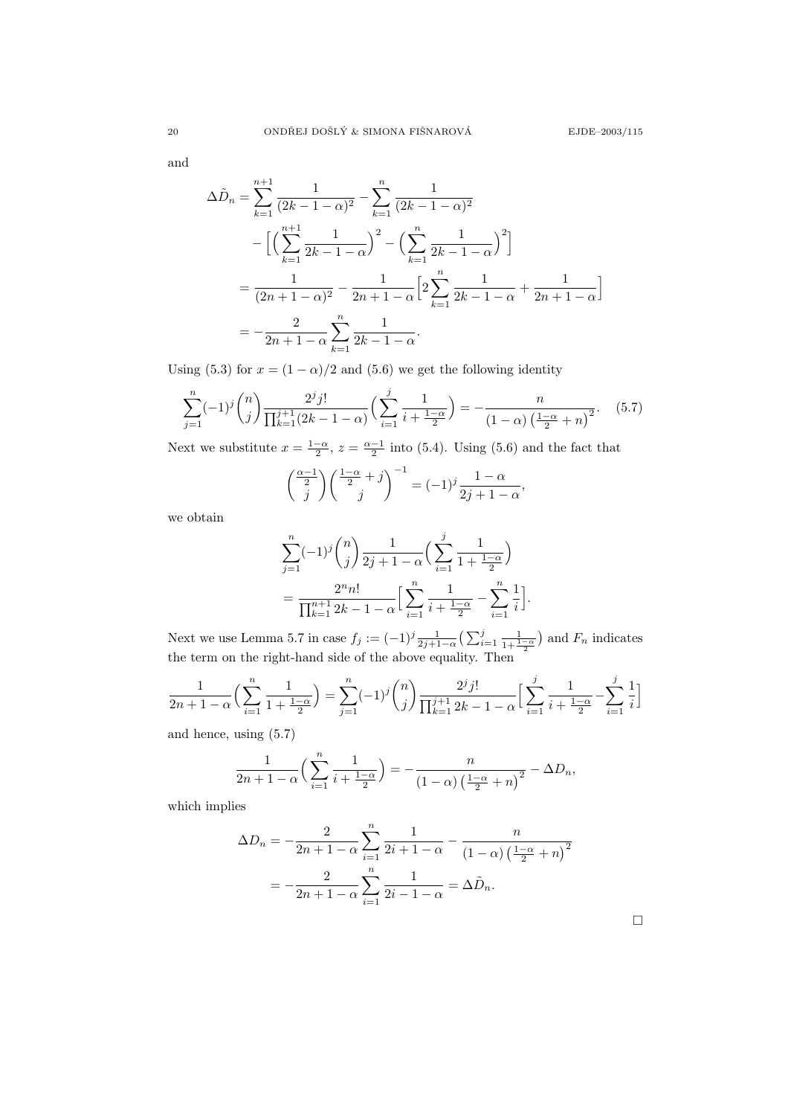and

$$
\Delta \tilde{D}_n = \sum_{k=1}^{n+1} \frac{1}{(2k-1-\alpha)^2} - \sum_{k=1}^n \frac{1}{(2k-1-\alpha)^2}
$$

$$
- \left[ \left( \sum_{k=1}^{n+1} \frac{1}{2k-1-\alpha} \right)^2 - \left( \sum_{k=1}^n \frac{1}{2k-1-\alpha} \right)^2 \right]
$$

$$
= \frac{1}{(2n+1-\alpha)^2} - \frac{1}{2n+1-\alpha} \left[ 2 \sum_{k=1}^n \frac{1}{2k-1-\alpha} + \frac{1}{2n+1-\alpha} \right]
$$

$$
= -\frac{2}{2n+1-\alpha} \sum_{k=1}^n \frac{1}{2k-1-\alpha}.
$$

Using (5.3) for  $x = (1 - \alpha)/2$  and (5.6) we get the following identity

$$
\sum_{j=1}^{n} (-1)^{j} {n \choose j} \frac{2^{j} j!}{\prod_{k=1}^{j+1} (2k - 1 - \alpha)} \Big(\sum_{i=1}^{j} \frac{1}{i + \frac{1 - \alpha}{2}}\Big) = -\frac{n}{(1 - \alpha) \left(\frac{1 - \alpha}{2} + n\right)^{2}}.
$$
 (5.7)

Next we substitute  $x = \frac{1-\alpha}{2}$ ,  $z = \frac{\alpha-1}{2}$  into (5.4). Using (5.6) and the fact that

$$
\binom{\frac{\alpha-1}{2}}{j} \binom{\frac{1-\alpha}{2}+j}{j}^{-1} = (-1)^j \frac{1-\alpha}{2j+1-\alpha},
$$

we obtain

$$
\sum_{j=1}^{n} (-1)^{j} {n \choose j} \frac{1}{2j+1-\alpha} \Big(\sum_{i=1}^{j} \frac{1}{1+\frac{1-\alpha}{2}}\Big) \n= \frac{2^{n} n!}{\prod_{k=1}^{n+1} 2k - 1 - \alpha} \Big[\sum_{i=1}^{n} \frac{1}{i+\frac{1-\alpha}{2}} - \sum_{i=1}^{n} \frac{1}{i}\Big].
$$

Next we use Lemma 5.7 in case  $f_j := (-1)^j \frac{1}{2j+1-\alpha} \left( \sum_{i=1}^j \frac{1}{1+\frac{1-\alpha}{2}} \right)$  and  $F_n$  indicates the term on the right-hand side of the above equality. Then

$$
\frac{1}{2n+1-\alpha} \left( \sum_{i=1}^n \frac{1}{1+\frac{1-\alpha}{2}} \right) = \sum_{j=1}^n (-1)^j \binom{n}{j} \frac{2^j j!}{\prod_{k=1}^{j+1} 2k - 1 - \alpha} \left[ \sum_{i=1}^j \frac{1}{i+\frac{1-\alpha}{2}} - \sum_{i=1}^j \frac{1}{i} \right]
$$

and hence, using (5.7)

$$
\frac{1}{2n+1-\alpha}\left(\sum_{i=1}^n\frac{1}{i+\frac{1-\alpha}{2}}\right)=-\frac{n}{\left(1-\alpha\right)\left(\frac{1-\alpha}{2}+n\right)^2}-\Delta D_n,
$$

which implies

$$
\Delta D_n = -\frac{2}{2n+1-\alpha} \sum_{i=1}^n \frac{1}{2i+1-\alpha} - \frac{n}{(1-\alpha) \left(\frac{1-\alpha}{2} + n\right)^2}
$$

$$
= -\frac{2}{2n+1-\alpha} \sum_{i=1}^n \frac{1}{2i-1-\alpha} = \Delta \tilde{D}_n.
$$

 $\Box$